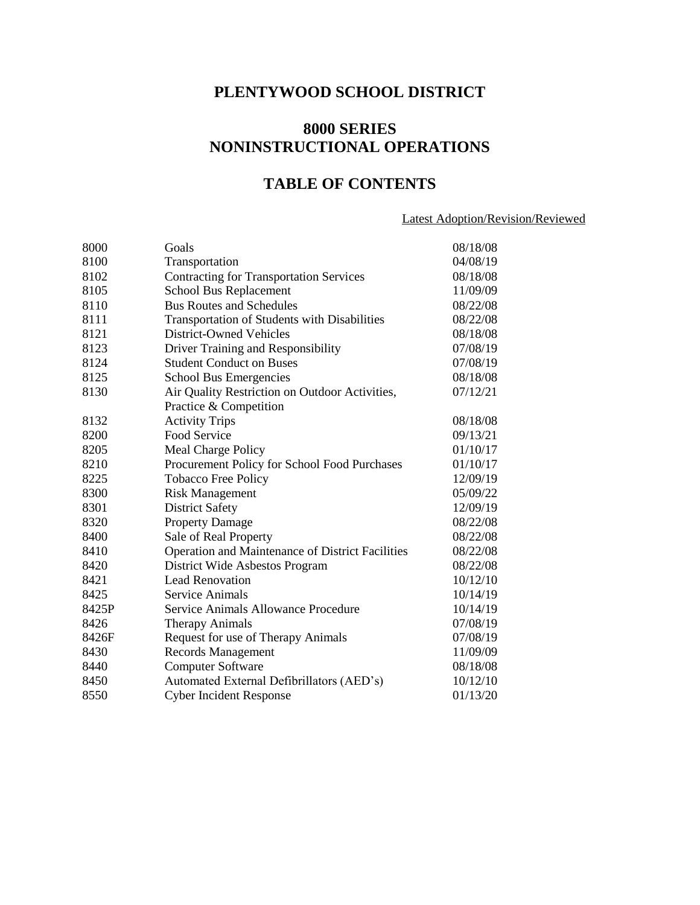# **PLENTYWOOD SCHOOL DISTRICT**

# **8000 SERIES NONINSTRUCTIONAL OPERATIONS**

# **TABLE OF CONTENTS**

# Latest Adoption/Revision/Reviewed

| 8000  | Goals                                            | 08/18/08 |
|-------|--------------------------------------------------|----------|
| 8100  | Transportation                                   | 04/08/19 |
| 8102  | <b>Contracting for Transportation Services</b>   | 08/18/08 |
| 8105  | School Bus Replacement                           | 11/09/09 |
| 8110  | <b>Bus Routes and Schedules</b>                  | 08/22/08 |
| 8111  | Transportation of Students with Disabilities     | 08/22/08 |
| 8121  | <b>District-Owned Vehicles</b>                   | 08/18/08 |
| 8123  | Driver Training and Responsibility               | 07/08/19 |
| 8124  | <b>Student Conduct on Buses</b>                  | 07/08/19 |
| 8125  | School Bus Emergencies                           | 08/18/08 |
| 8130  | Air Quality Restriction on Outdoor Activities,   | 07/12/21 |
|       | Practice & Competition                           |          |
| 8132  | <b>Activity Trips</b>                            | 08/18/08 |
| 8200  | Food Service                                     | 09/13/21 |
| 8205  | Meal Charge Policy                               | 01/10/17 |
| 8210  | Procurement Policy for School Food Purchases     | 01/10/17 |
| 8225  | <b>Tobacco Free Policy</b>                       | 12/09/19 |
| 8300  | <b>Risk Management</b>                           | 05/09/22 |
| 8301  | <b>District Safety</b>                           | 12/09/19 |
| 8320  | <b>Property Damage</b>                           | 08/22/08 |
| 8400  | Sale of Real Property                            | 08/22/08 |
| 8410  | Operation and Maintenance of District Facilities | 08/22/08 |
| 8420  | District Wide Asbestos Program                   | 08/22/08 |
| 8421  | <b>Lead Renovation</b>                           | 10/12/10 |
| 8425  | Service Animals                                  | 10/14/19 |
| 8425P | Service Animals Allowance Procedure              | 10/14/19 |
| 8426  | <b>Therapy Animals</b>                           | 07/08/19 |
| 8426F | Request for use of Therapy Animals               | 07/08/19 |
| 8430  | <b>Records Management</b>                        | 11/09/09 |
| 8440  | <b>Computer Software</b>                         | 08/18/08 |
| 8450  | Automated External Defibrillators (AED's)        | 10/12/10 |
| 8550  | <b>Cyber Incident Response</b>                   | 01/13/20 |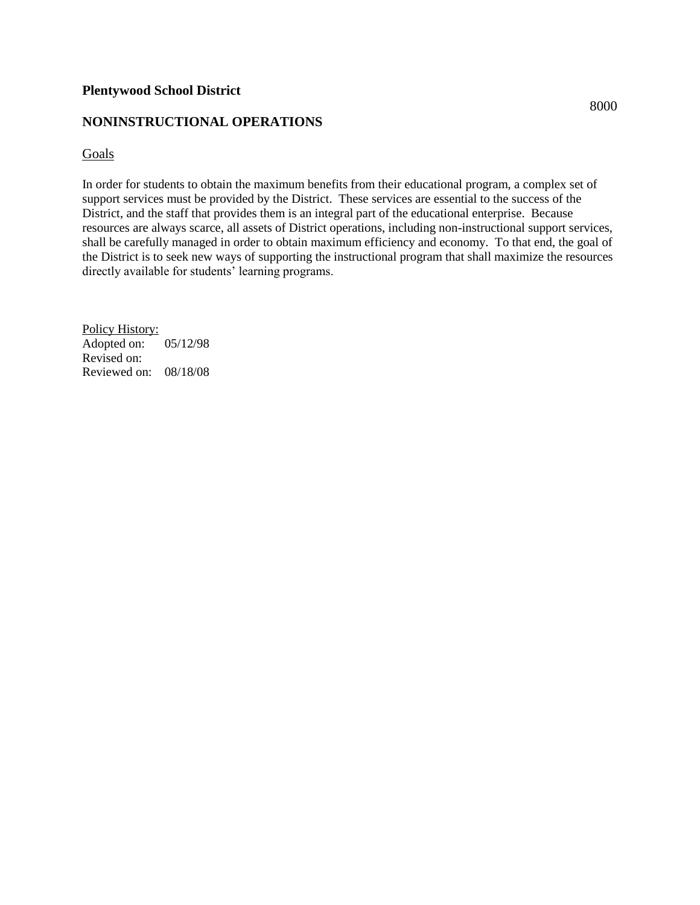# **NONINSTRUCTIONAL OPERATIONS**

Goals

In order for students to obtain the maximum benefits from their educational program, a complex set of support services must be provided by the District. These services are essential to the success of the District, and the staff that provides them is an integral part of the educational enterprise. Because resources are always scarce, all assets of District operations, including non-instructional support services, shall be carefully managed in order to obtain maximum efficiency and economy. To that end, the goal of the District is to seek new ways of supporting the instructional program that shall maximize the resources directly available for students' learning programs.

Policy History: Adopted on: 05/12/98 Revised on: Reviewed on: 08/18/08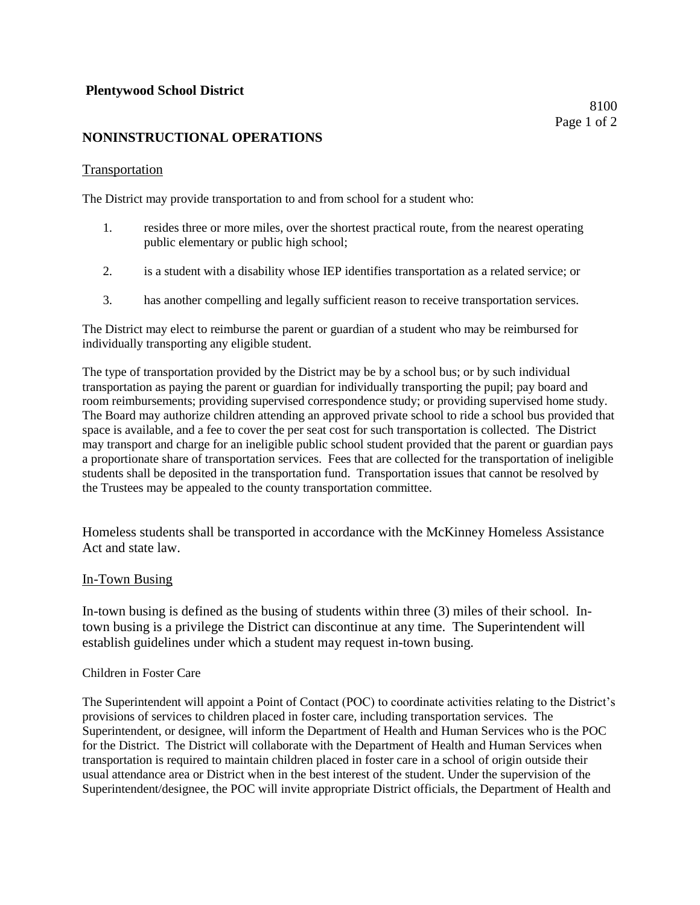# **NONINSTRUCTIONAL OPERATIONS**

#### **Transportation**

The District may provide transportation to and from school for a student who:

- 1. resides three or more miles, over the shortest practical route, from the nearest operating public elementary or public high school;
- 2. is a student with a disability whose IEP identifies transportation as a related service; or
- 3. has another compelling and legally sufficient reason to receive transportation services.

The District may elect to reimburse the parent or guardian of a student who may be reimbursed for individually transporting any eligible student.

The type of transportation provided by the District may be by a school bus; or by such individual transportation as paying the parent or guardian for individually transporting the pupil; pay board and room reimbursements; providing supervised correspondence study; or providing supervised home study. The Board may authorize children attending an approved private school to ride a school bus provided that space is available, and a fee to cover the per seat cost for such transportation is collected. The District may transport and charge for an ineligible public school student provided that the parent or guardian pays a proportionate share of transportation services. Fees that are collected for the transportation of ineligible students shall be deposited in the transportation fund. Transportation issues that cannot be resolved by the Trustees may be appealed to the county transportation committee.

Homeless students shall be transported in accordance with the McKinney Homeless Assistance Act and state law.

#### In-Town Busing

In-town busing is defined as the busing of students within three (3) miles of their school. Intown busing is a privilege the District can discontinue at any time. The Superintendent will establish guidelines under which a student may request in-town busing.

#### Children in Foster Care

The Superintendent will appoint a Point of Contact (POC) to coordinate activities relating to the District's provisions of services to children placed in foster care, including transportation services. The Superintendent, or designee, will inform the Department of Health and Human Services who is the POC for the District. The District will collaborate with the Department of Health and Human Services when transportation is required to maintain children placed in foster care in a school of origin outside their usual attendance area or District when in the best interest of the student. Under the supervision of the Superintendent/designee, the POC will invite appropriate District officials, the Department of Health and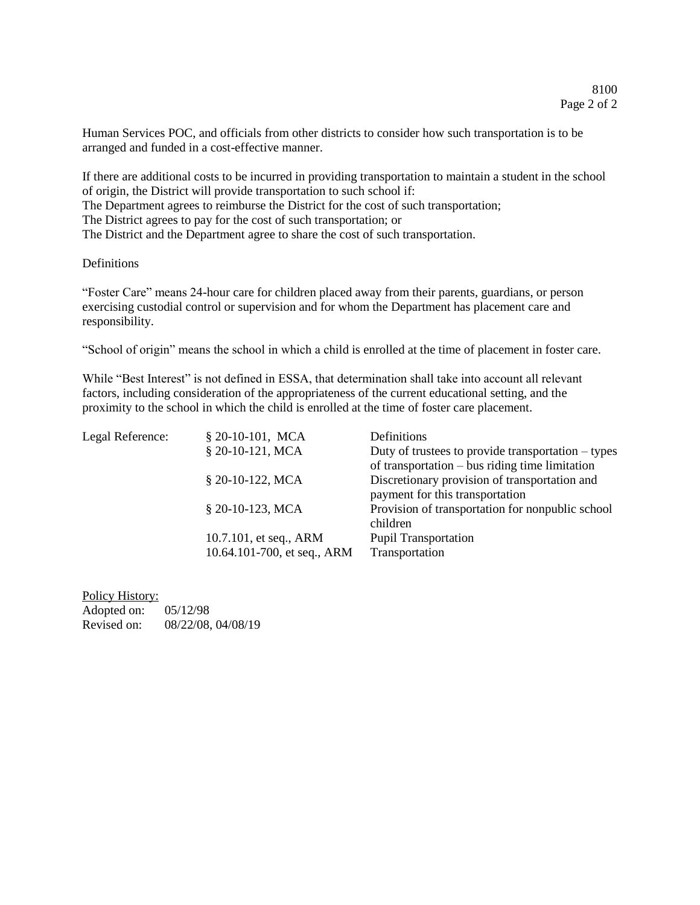Human Services POC, and officials from other districts to consider how such transportation is to be arranged and funded in a cost-effective manner.

If there are additional costs to be incurred in providing transportation to maintain a student in the school of origin, the District will provide transportation to such school if: The Department agrees to reimburse the District for the cost of such transportation; The District agrees to pay for the cost of such transportation; or The District and the Department agree to share the cost of such transportation.

**Definitions** 

"Foster Care" means 24-hour care for children placed away from their parents, guardians, or person exercising custodial control or supervision and for whom the Department has placement care and responsibility.

"School of origin" means the school in which a child is enrolled at the time of placement in foster care.

While "Best Interest" is not defined in ESSA, that determination shall take into account all relevant factors, including consideration of the appropriateness of the current educational setting, and the proximity to the school in which the child is enrolled at the time of foster care placement.

| Legal Reference: | § 20-10-101, MCA                                      | Definitions                                                                                              |
|------------------|-------------------------------------------------------|----------------------------------------------------------------------------------------------------------|
|                  | § 20-10-121, MCA                                      | Duty of trustees to provide transportation $-$ types<br>of transportation $-$ bus riding time limitation |
|                  | § 20-10-122, MCA                                      | Discretionary provision of transportation and<br>payment for this transportation                         |
|                  | § 20-10-123, MCA                                      | Provision of transportation for nonpublic school<br>children                                             |
|                  | 10.7.101, et seq., ARM<br>10.64.101-700, et seq., ARM | <b>Pupil Transportation</b><br>Transportation                                                            |

Policy History: Adopted on: 05/12/98 Revised on: 08/22/08, 04/08/19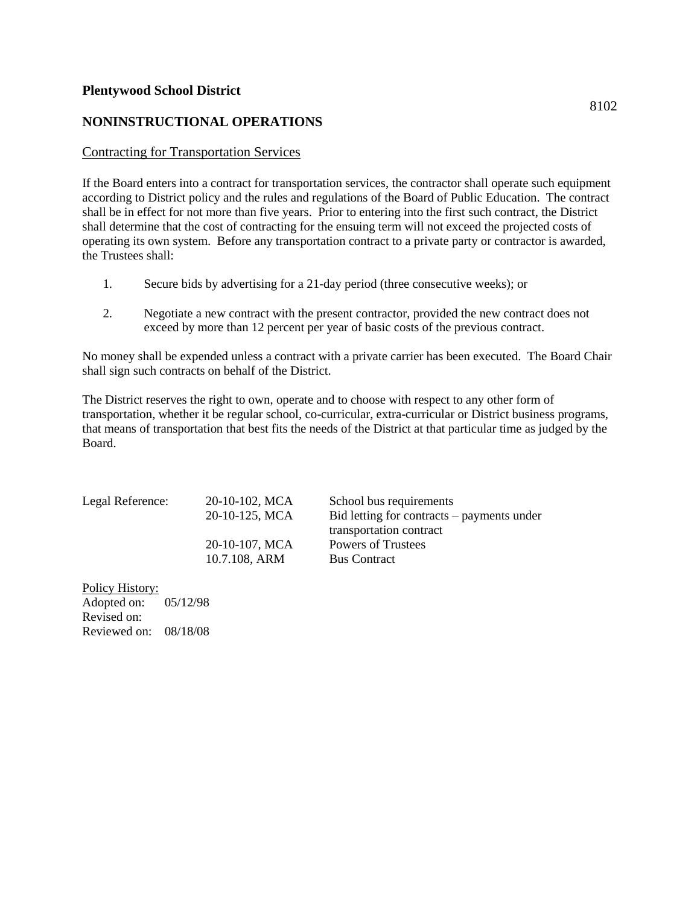# **NONINSTRUCTIONAL OPERATIONS**

#### Contracting for Transportation Services

If the Board enters into a contract for transportation services, the contractor shall operate such equipment according to District policy and the rules and regulations of the Board of Public Education. The contract shall be in effect for not more than five years. Prior to entering into the first such contract, the District shall determine that the cost of contracting for the ensuing term will not exceed the projected costs of operating its own system. Before any transportation contract to a private party or contractor is awarded, the Trustees shall:

- 1. Secure bids by advertising for a 21-day period (three consecutive weeks); or
- 2. Negotiate a new contract with the present contractor, provided the new contract does not exceed by more than 12 percent per year of basic costs of the previous contract.

No money shall be expended unless a contract with a private carrier has been executed. The Board Chair shall sign such contracts on behalf of the District.

The District reserves the right to own, operate and to choose with respect to any other form of transportation, whether it be regular school, co-curricular, extra-curricular or District business programs, that means of transportation that best fits the needs of the District at that particular time as judged by the Board.

| Legal Reference: | $20-10-102$ , MCA | School bus requirements                      |
|------------------|-------------------|----------------------------------------------|
|                  | 20-10-125, MCA    | $Bid$ letting for contracts – payments under |
|                  |                   | transportation contract                      |
|                  | 20-10-107, MCA    | Powers of Trustees                           |
|                  | 10.7.108, ARM     | <b>Bus Contract</b>                          |
|                  |                   |                                              |

Policy History: Adopted on: 05/12/98 Revised on: Reviewed on: 08/18/08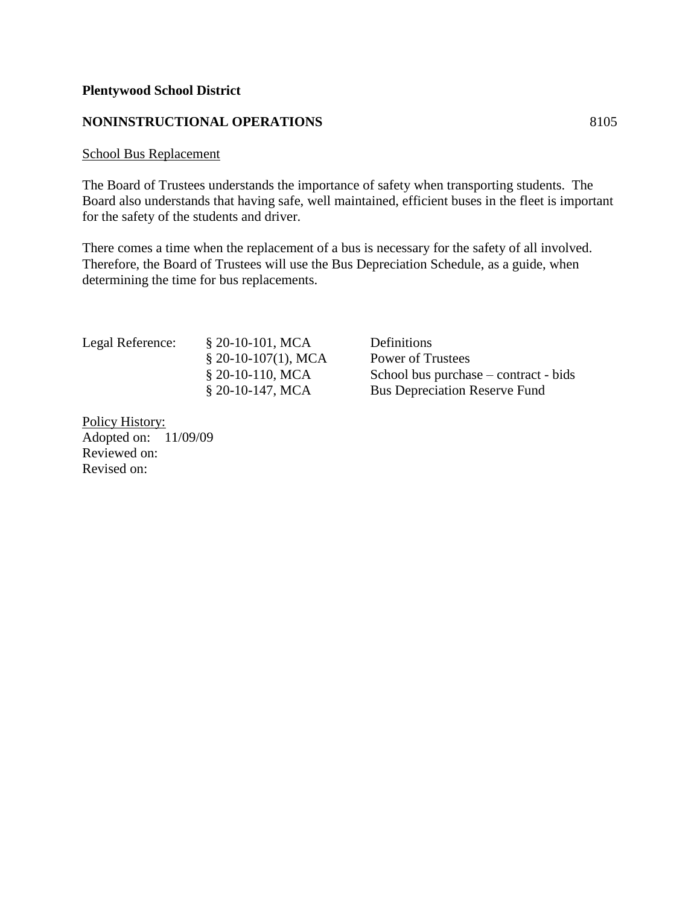# **NONINSTRUCTIONAL OPERATIONS** 8105

#### School Bus Replacement

The Board of Trustees understands the importance of safety when transporting students. The Board also understands that having safe, well maintained, efficient buses in the fleet is important for the safety of the students and driver.

There comes a time when the replacement of a bus is necessary for the safety of all involved. Therefore, the Board of Trustees will use the Bus Depreciation Schedule, as a guide, when determining the time for bus replacements.

Legal Reference: § 20-10-101, MCA Definitions § 20-10-107(1), MCA Power of Trustees § 20-10-110, MCA School bus purchase – contract - bids § 20-10-147, MCA Bus Depreciation Reserve Fund

Policy History: Adopted on: 11/09/09 Reviewed on: Revised on: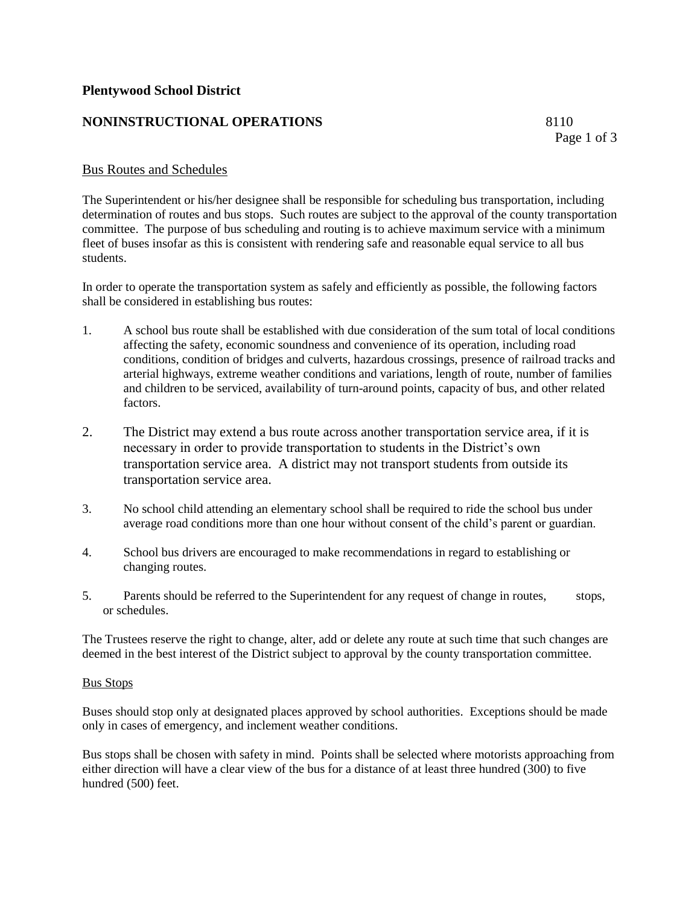# **NONINSTRUCTIONAL OPERATIONS** 8110

Page 1 of 3

# Bus Routes and Schedules

The Superintendent or his/her designee shall be responsible for scheduling bus transportation, including determination of routes and bus stops. Such routes are subject to the approval of the county transportation committee. The purpose of bus scheduling and routing is to achieve maximum service with a minimum fleet of buses insofar as this is consistent with rendering safe and reasonable equal service to all bus students.

In order to operate the transportation system as safely and efficiently as possible, the following factors shall be considered in establishing bus routes:

- 1. A school bus route shall be established with due consideration of the sum total of local conditions affecting the safety, economic soundness and convenience of its operation, including road conditions, condition of bridges and culverts, hazardous crossings, presence of railroad tracks and arterial highways, extreme weather conditions and variations, length of route, number of families and children to be serviced, availability of turn-around points, capacity of bus, and other related factors.
- 2. The District may extend a bus route across another transportation service area, if it is necessary in order to provide transportation to students in the District's own transportation service area. A district may not transport students from outside its transportation service area.
- 3. No school child attending an elementary school shall be required to ride the school bus under average road conditions more than one hour without consent of the child's parent or guardian.
- 4. School bus drivers are encouraged to make recommendations in regard to establishing or changing routes.
- 5. Parents should be referred to the Superintendent for any request of change in routes, stops, or schedules.

The Trustees reserve the right to change, alter, add or delete any route at such time that such changes are deemed in the best interest of the District subject to approval by the county transportation committee.

#### Bus Stops

Buses should stop only at designated places approved by school authorities. Exceptions should be made only in cases of emergency, and inclement weather conditions.

Bus stops shall be chosen with safety in mind. Points shall be selected where motorists approaching from either direction will have a clear view of the bus for a distance of at least three hundred (300) to five hundred (500) feet.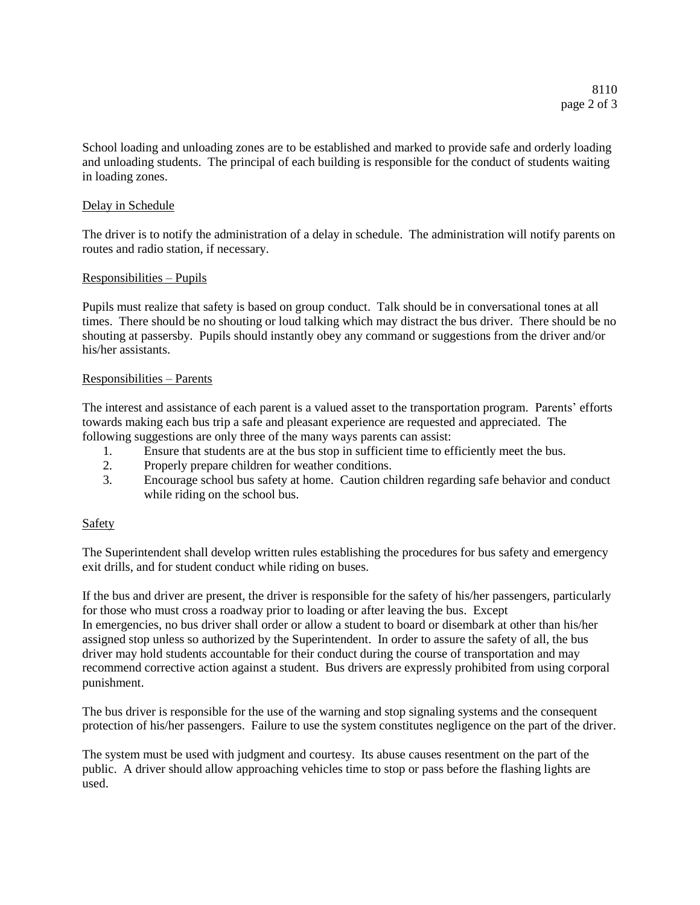School loading and unloading zones are to be established and marked to provide safe and orderly loading and unloading students. The principal of each building is responsible for the conduct of students waiting in loading zones.

#### Delay in Schedule

The driver is to notify the administration of a delay in schedule. The administration will notify parents on routes and radio station, if necessary.

#### Responsibilities – Pupils

Pupils must realize that safety is based on group conduct. Talk should be in conversational tones at all times. There should be no shouting or loud talking which may distract the bus driver. There should be no shouting at passersby. Pupils should instantly obey any command or suggestions from the driver and/or his/her assistants.

#### Responsibilities – Parents

The interest and assistance of each parent is a valued asset to the transportation program. Parents' efforts towards making each bus trip a safe and pleasant experience are requested and appreciated. The following suggestions are only three of the many ways parents can assist:

- 1. Ensure that students are at the bus stop in sufficient time to efficiently meet the bus.
- 2. Properly prepare children for weather conditions.
- 3. Encourage school bus safety at home. Caution children regarding safe behavior and conduct while riding on the school bus.

#### Safety

The Superintendent shall develop written rules establishing the procedures for bus safety and emergency exit drills, and for student conduct while riding on buses.

If the bus and driver are present, the driver is responsible for the safety of his/her passengers, particularly for those who must cross a roadway prior to loading or after leaving the bus. Except In emergencies, no bus driver shall order or allow a student to board or disembark at other than his/her assigned stop unless so authorized by the Superintendent. In order to assure the safety of all, the bus driver may hold students accountable for their conduct during the course of transportation and may recommend corrective action against a student. Bus drivers are expressly prohibited from using corporal punishment.

The bus driver is responsible for the use of the warning and stop signaling systems and the consequent protection of his/her passengers. Failure to use the system constitutes negligence on the part of the driver.

The system must be used with judgment and courtesy. Its abuse causes resentment on the part of the public. A driver should allow approaching vehicles time to stop or pass before the flashing lights are used.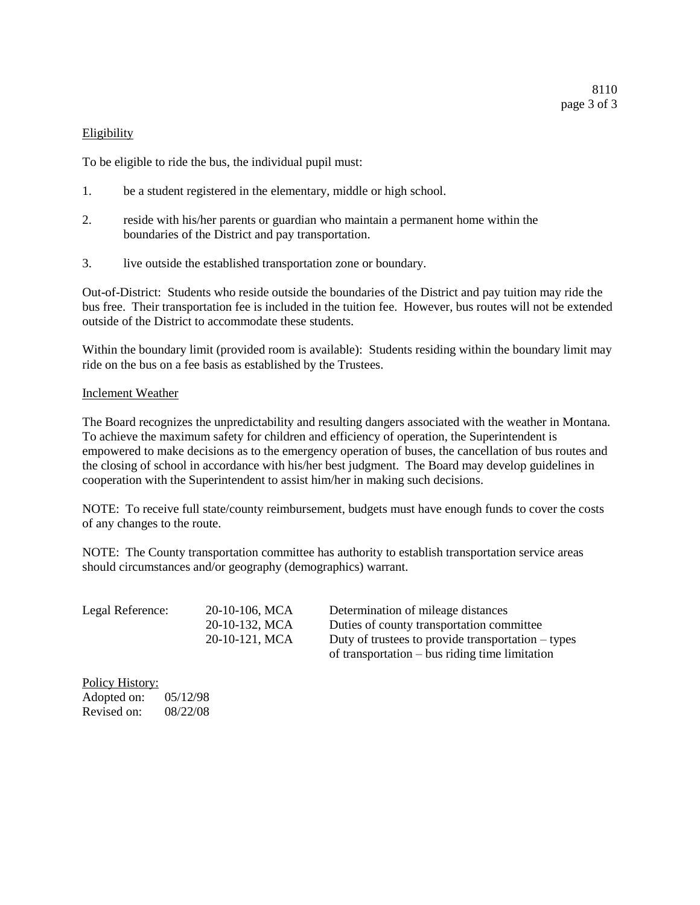#### Eligibility

To be eligible to ride the bus, the individual pupil must:

- 1. be a student registered in the elementary, middle or high school.
- 2. reside with his/her parents or guardian who maintain a permanent home within the boundaries of the District and pay transportation.
- 3. live outside the established transportation zone or boundary.

Out-of-District: Students who reside outside the boundaries of the District and pay tuition may ride the bus free. Their transportation fee is included in the tuition fee. However, bus routes will not be extended outside of the District to accommodate these students.

Within the boundary limit (provided room is available): Students residing within the boundary limit may ride on the bus on a fee basis as established by the Trustees.

#### Inclement Weather

The Board recognizes the unpredictability and resulting dangers associated with the weather in Montana. To achieve the maximum safety for children and efficiency of operation, the Superintendent is empowered to make decisions as to the emergency operation of buses, the cancellation of bus routes and the closing of school in accordance with his/her best judgment. The Board may develop guidelines in cooperation with the Superintendent to assist him/her in making such decisions.

NOTE: To receive full state/county reimbursement, budgets must have enough funds to cover the costs of any changes to the route.

NOTE: The County transportation committee has authority to establish transportation service areas should circumstances and/or geography (demographics) warrant.

| Legal Reference: | 20-10-106, MCA | Determination of mileage distances                   |
|------------------|----------------|------------------------------------------------------|
|                  | 20-10-132, MCA | Duties of county transportation committee            |
|                  | 20-10-121, MCA | Duty of trustees to provide transportation $-$ types |
|                  |                | of transportation $-$ bus riding time limitation     |

Policy History: Adopted on: 05/12/98 Revised on: 08/22/08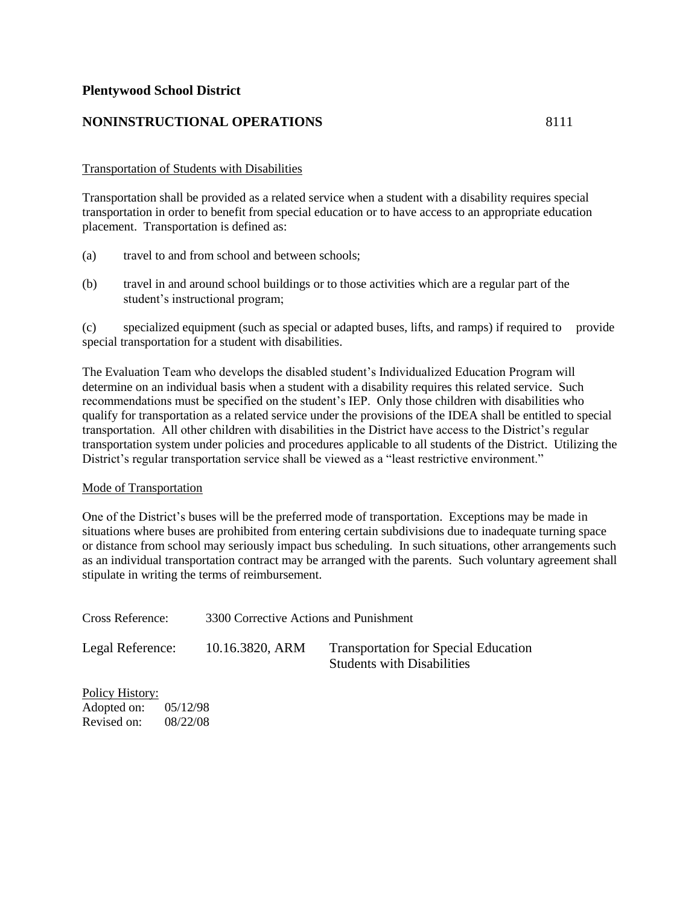#### **NONINSTRUCTIONAL OPERATIONS** 8111

#### Transportation of Students with Disabilities

Transportation shall be provided as a related service when a student with a disability requires special transportation in order to benefit from special education or to have access to an appropriate education placement. Transportation is defined as:

- (a) travel to and from school and between schools;
- (b) travel in and around school buildings or to those activities which are a regular part of the student's instructional program;

(c) specialized equipment (such as special or adapted buses, lifts, and ramps) if required to provide special transportation for a student with disabilities.

The Evaluation Team who develops the disabled student's Individualized Education Program will determine on an individual basis when a student with a disability requires this related service. Such recommendations must be specified on the student's IEP. Only those children with disabilities who qualify for transportation as a related service under the provisions of the IDEA shall be entitled to special transportation. All other children with disabilities in the District have access to the District's regular transportation system under policies and procedures applicable to all students of the District. Utilizing the District's regular transportation service shall be viewed as a "least restrictive environment."

#### Mode of Transportation

One of the District's buses will be the preferred mode of transportation. Exceptions may be made in situations where buses are prohibited from entering certain subdivisions due to inadequate turning space or distance from school may seriously impact bus scheduling. In such situations, other arrangements such as an individual transportation contract may be arranged with the parents. Such voluntary agreement shall stipulate in writing the terms of reimbursement.

| Cross Reference: | 3300 Corrective Actions and Punishment |                                                                                  |
|------------------|----------------------------------------|----------------------------------------------------------------------------------|
| Legal Reference: | 10.16.3820, ARM                        | <b>Transportation for Special Education</b><br><b>Students with Disabilities</b> |

Policy History: Adopted on: 05/12/98 Revised on: 08/22/08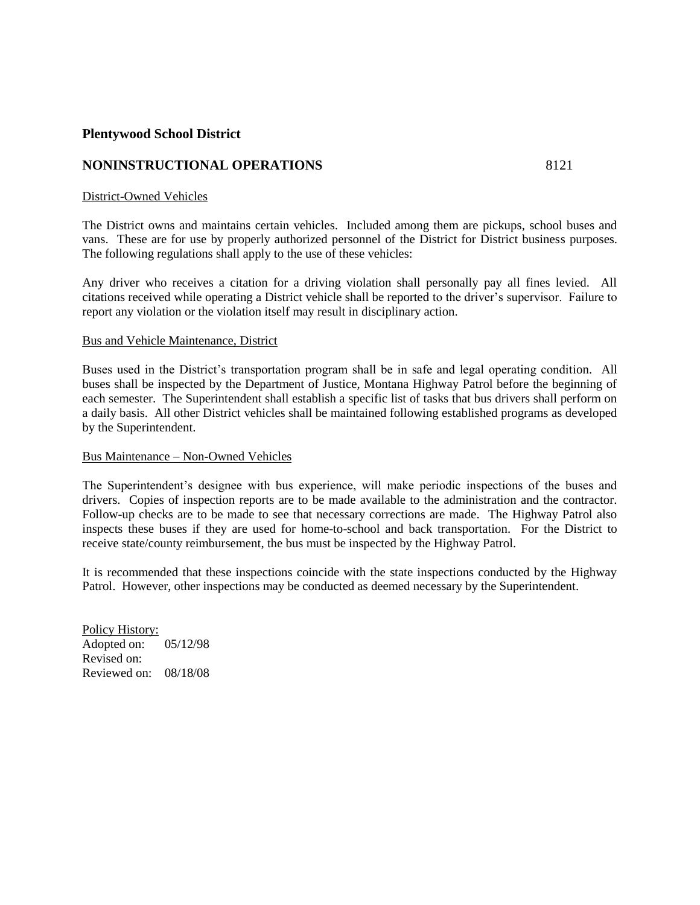#### **NONINSTRUCTIONAL OPERATIONS** 8121

#### District-Owned Vehicles

The District owns and maintains certain vehicles. Included among them are pickups, school buses and vans. These are for use by properly authorized personnel of the District for District business purposes. The following regulations shall apply to the use of these vehicles:

Any driver who receives a citation for a driving violation shall personally pay all fines levied. All citations received while operating a District vehicle shall be reported to the driver's supervisor. Failure to report any violation or the violation itself may result in disciplinary action.

#### Bus and Vehicle Maintenance, District

Buses used in the District's transportation program shall be in safe and legal operating condition. All buses shall be inspected by the Department of Justice, Montana Highway Patrol before the beginning of each semester. The Superintendent shall establish a specific list of tasks that bus drivers shall perform on a daily basis. All other District vehicles shall be maintained following established programs as developed by the Superintendent.

#### Bus Maintenance – Non-Owned Vehicles

The Superintendent's designee with bus experience, will make periodic inspections of the buses and drivers. Copies of inspection reports are to be made available to the administration and the contractor. Follow-up checks are to be made to see that necessary corrections are made. The Highway Patrol also inspects these buses if they are used for home-to-school and back transportation. For the District to receive state/county reimbursement, the bus must be inspected by the Highway Patrol.

It is recommended that these inspections coincide with the state inspections conducted by the Highway Patrol. However, other inspections may be conducted as deemed necessary by the Superintendent.

Policy History: Adopted on: 05/12/98 Revised on: Reviewed on: 08/18/08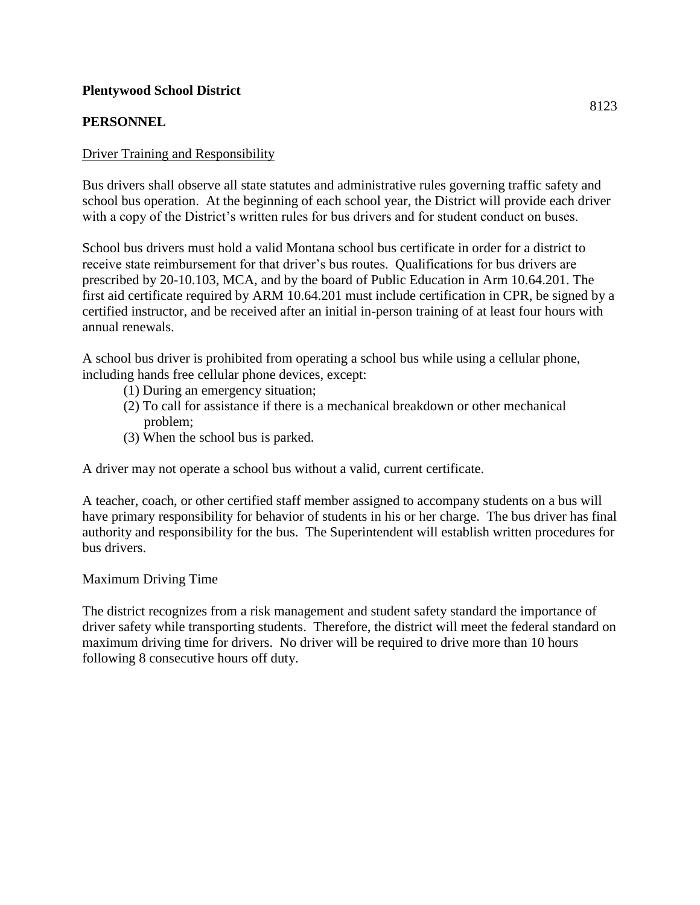# **PERSONNEL**

# Driver Training and Responsibility

Bus drivers shall observe all state statutes and administrative rules governing traffic safety and school bus operation. At the beginning of each school year, the District will provide each driver with a copy of the District's written rules for bus drivers and for student conduct on buses.

School bus drivers must hold a valid Montana school bus certificate in order for a district to receive state reimbursement for that driver's bus routes. Qualifications for bus drivers are prescribed by 20-10.103, MCA, and by the board of Public Education in Arm 10.64.201. The first aid certificate required by ARM 10.64.201 must include certification in CPR, be signed by a certified instructor, and be received after an initial in-person training of at least four hours with annual renewals.

A school bus driver is prohibited from operating a school bus while using a cellular phone, including hands free cellular phone devices, except:

- (1) During an emergency situation;
- (2) To call for assistance if there is a mechanical breakdown or other mechanical problem;
- (3) When the school bus is parked.

A driver may not operate a school bus without a valid, current certificate.

A teacher, coach, or other certified staff member assigned to accompany students on a bus will have primary responsibility for behavior of students in his or her charge. The bus driver has final authority and responsibility for the bus. The Superintendent will establish written procedures for bus drivers.

# Maximum Driving Time

The district recognizes from a risk management and student safety standard the importance of driver safety while transporting students. Therefore, the district will meet the federal standard on maximum driving time for drivers. No driver will be required to drive more than 10 hours following 8 consecutive hours off duty.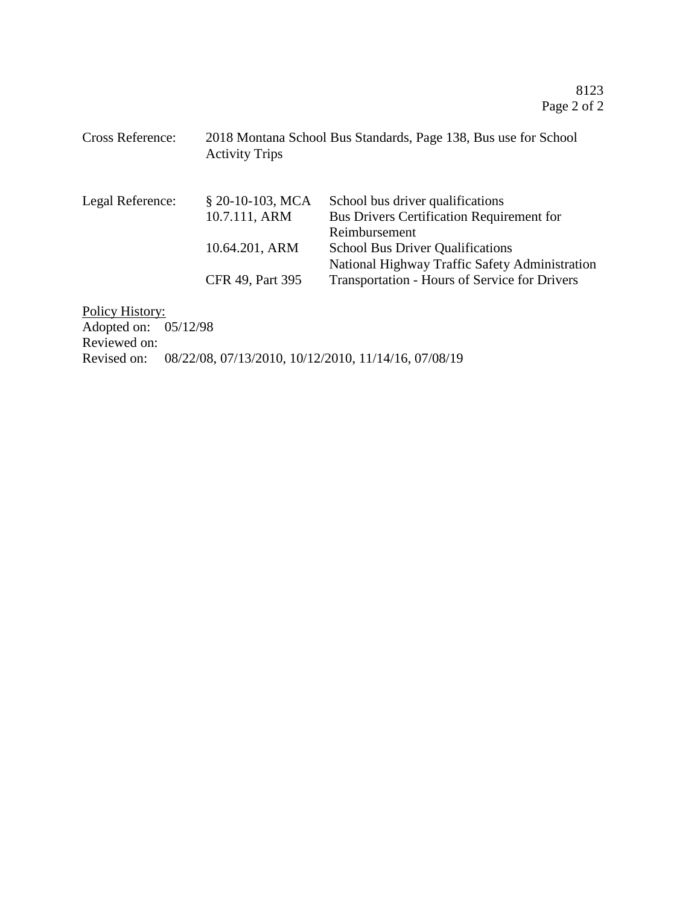| <b>Cross Reference:</b>                  | 2018 Montana School Bus Standards, Page 138, Bus use for School<br><b>Activity Trips</b> |                                                                                                       |
|------------------------------------------|------------------------------------------------------------------------------------------|-------------------------------------------------------------------------------------------------------|
| Legal Reference:                         | $$20-10-103$ , MCA<br>10.7.111, ARM                                                      | School bus driver qualifications<br><b>Bus Drivers Certification Requirement for</b><br>Reimbursement |
|                                          | 10.64.201, ARM                                                                           | <b>School Bus Driver Qualifications</b><br>National Highway Traffic Safety Administration             |
|                                          | CFR 49, Part 395                                                                         | <b>Transportation - Hours of Service for Drivers</b>                                                  |
| $D_2$ $\sum_{i=1}^{n}$ $\prod_{i=1}^{n}$ |                                                                                          |                                                                                                       |

Policy History: Adopted on: 05/12/98 Reviewed on: Revised on: 08/22/08, 07/13/2010, 10/12/2010, 11/14/16, 07/08/19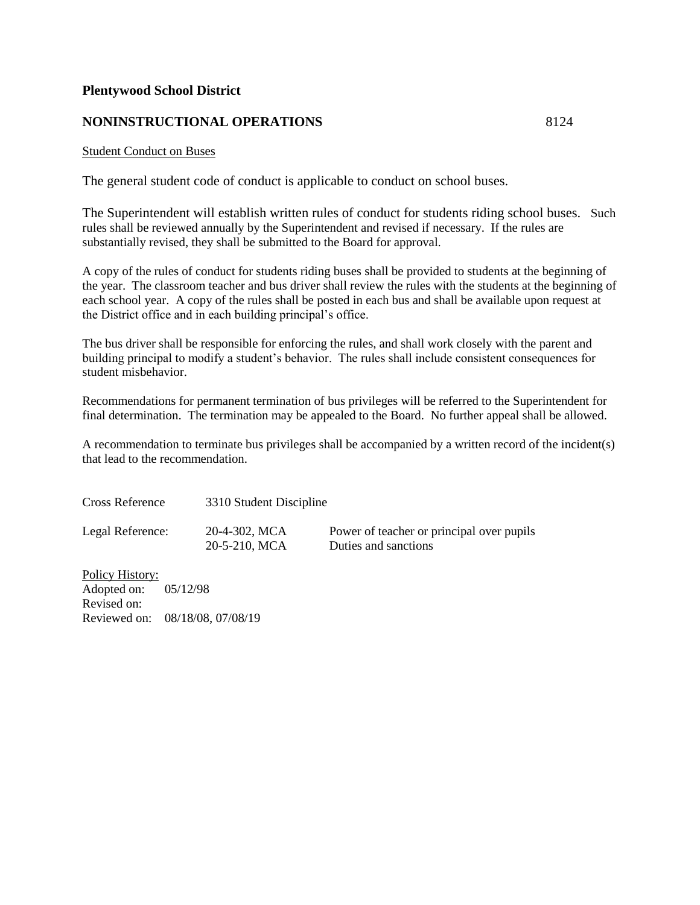# **NONINSTRUCTIONAL OPERATIONS** 8124

#### Student Conduct on Buses

The general student code of conduct is applicable to conduct on school buses.

The Superintendent will establish written rules of conduct for students riding school buses. Such rules shall be reviewed annually by the Superintendent and revised if necessary. If the rules are substantially revised, they shall be submitted to the Board for approval.

A copy of the rules of conduct for students riding buses shall be provided to students at the beginning of the year. The classroom teacher and bus driver shall review the rules with the students at the beginning of each school year. A copy of the rules shall be posted in each bus and shall be available upon request at the District office and in each building principal's office.

The bus driver shall be responsible for enforcing the rules, and shall work closely with the parent and building principal to modify a student's behavior. The rules shall include consistent consequences for student misbehavior.

Recommendations for permanent termination of bus privileges will be referred to the Superintendent for final determination. The termination may be appealed to the Board. No further appeal shall be allowed.

A recommendation to terminate bus privileges shall be accompanied by a written record of the incident(s) that lead to the recommendation.

| <b>Cross Reference</b> | 3310 Student Discipline |                                           |
|------------------------|-------------------------|-------------------------------------------|
| Legal Reference:       | 20-4-302, MCA           | Power of teacher or principal over pupils |
|                        | 20-5-210, MCA           | Duties and sanctions                      |

Policy History: Adopted on: 05/12/98 Revised on: Reviewed on: 08/18/08, 07/08/19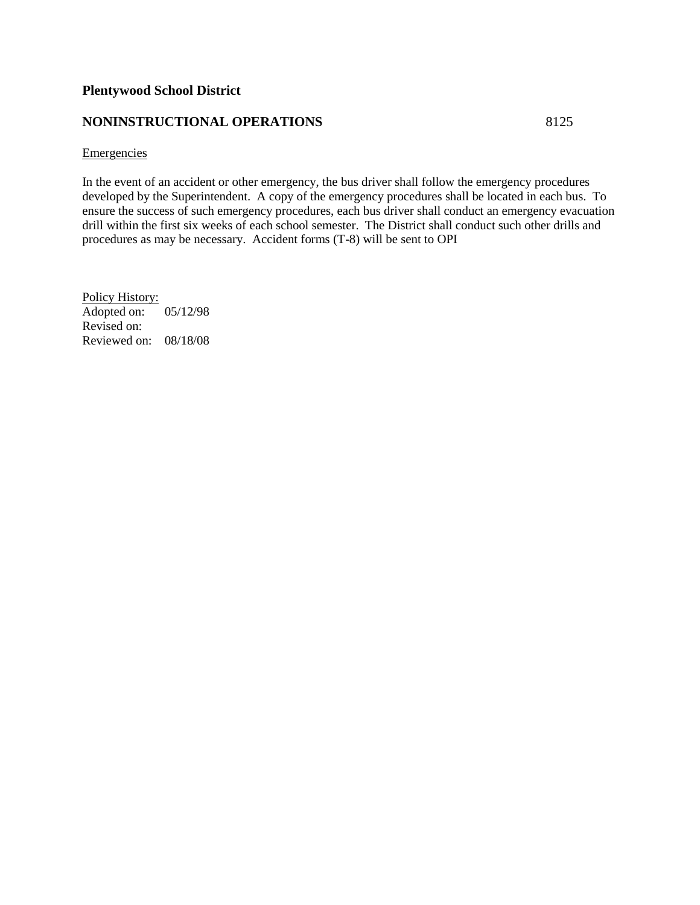# **NONINSTRUCTIONAL OPERATIONS** 8125

#### **Emergencies**

In the event of an accident or other emergency, the bus driver shall follow the emergency procedures developed by the Superintendent. A copy of the emergency procedures shall be located in each bus. To ensure the success of such emergency procedures, each bus driver shall conduct an emergency evacuation drill within the first six weeks of each school semester. The District shall conduct such other drills and procedures as may be necessary. Accident forms (T-8) will be sent to OPI

Policy History: Adopted on: 05/12/98 Revised on: Reviewed on: 08/18/08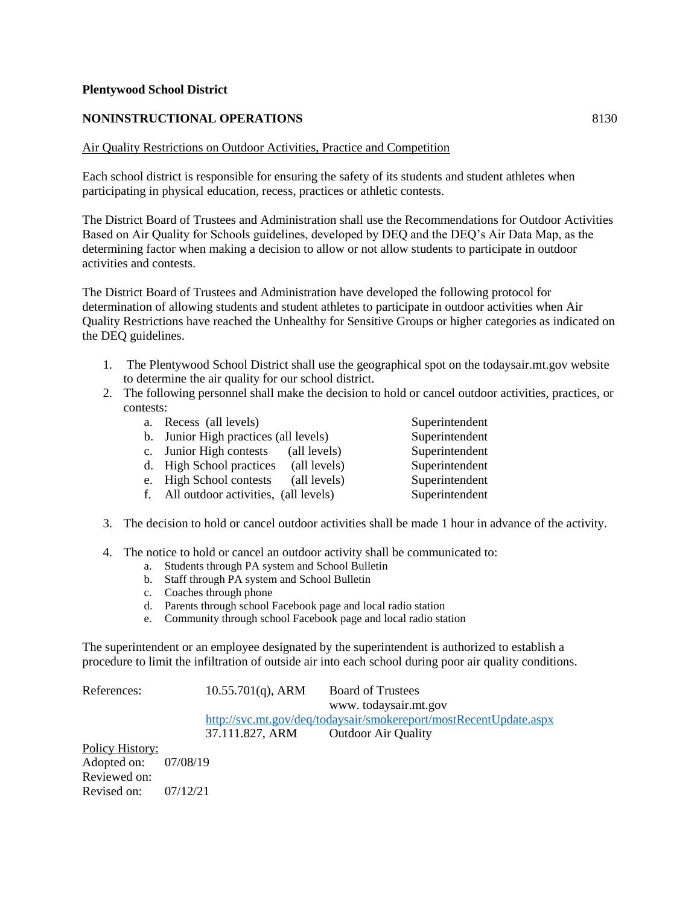#### **NONINSTRUCTIONAL OPERATIONS** 8130

#### Air Quality Restrictions on Outdoor Activities, Practice and Competition

Each school district is responsible for ensuring the safety of its students and student athletes when participating in physical education, recess, practices or athletic contests.

The District Board of Trustees and Administration shall use the Recommendations for Outdoor Activities Based on Air Quality for Schools guidelines, developed by DEQ and the DEQ's Air Data Map, as the determining factor when making a decision to allow or not allow students to participate in outdoor activities and contests.

The District Board of Trustees and Administration have developed the following protocol for determination of allowing students and student athletes to participate in outdoor activities when Air Quality Restrictions have reached the Unhealthy for Sensitive Groups or higher categories as indicated on the DEQ guidelines.

- 1. The Plentywood School District shall use the geographical spot on the todaysair.mt.gov website to determine the air quality for our school district.
- 2. The following personnel shall make the decision to hold or cancel outdoor activities, practices, or contests:

| a. Recess (all levels)                  |              | Superintendent |
|-----------------------------------------|--------------|----------------|
| b. Junior High practices (all levels)   |              | Superintendent |
| c. Junior High contests                 | (all levels) | Superintendent |
| d. High School practices                | (all levels) | Superintendent |
| e. High School contests                 | (all levels) | Superintendent |
| f. All outdoor activities, (all levels) |              | Superintendent |
|                                         |              |                |

- 3. The decision to hold or cancel outdoor activities shall be made 1 hour in advance of the activity.
- 4. The notice to hold or cancel an outdoor activity shall be communicated to:
	- a. Students through PA system and School Bulletin
	- b. Staff through PA system and School Bulletin
	- c. Coaches through phone
	- d. Parents through school Facebook page and local radio station
	- e. Community through school Facebook page and local radio station

The superintendent or an employee designated by the superintendent is authorized to establish a procedure to limit the infiltration of outside air into each school during poor air quality conditions.

References: 10.55.701(q), ARM Board of Trustees www. todaysair.mt.gov <http://svc.mt.gov/deq/todaysair/smokereport/mostRecentUpdate.aspx> 37.111.827, ARM Outdoor Air Quality Policy History:

Adopted on: 07/08/19 Reviewed on: Revised on: 07/12/21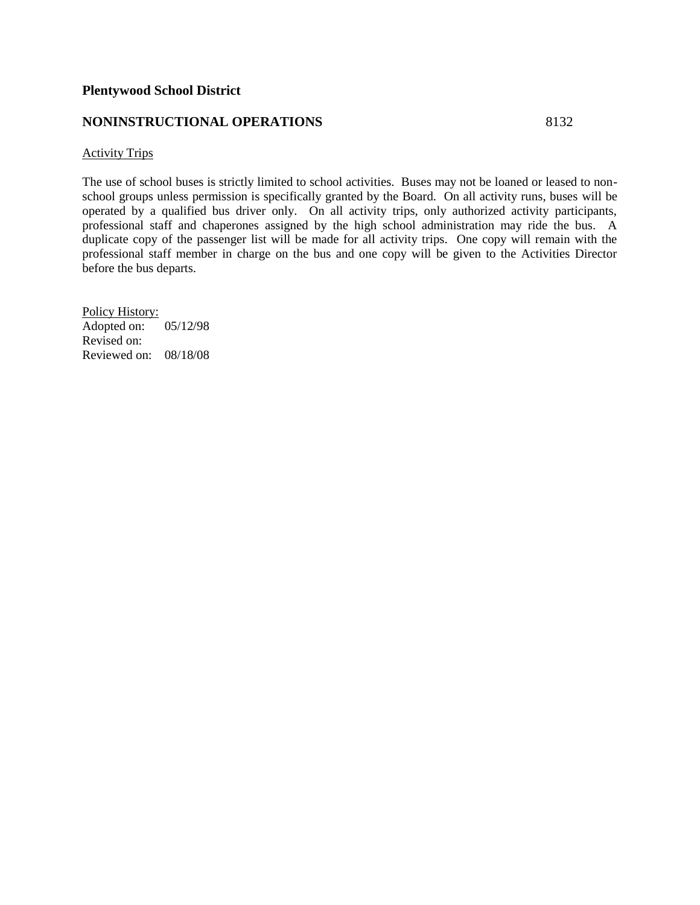#### **NONINSTRUCTIONAL OPERATIONS** 8132

#### Activity Trips

The use of school buses is strictly limited to school activities. Buses may not be loaned or leased to nonschool groups unless permission is specifically granted by the Board. On all activity runs, buses will be operated by a qualified bus driver only. On all activity trips, only authorized activity participants, professional staff and chaperones assigned by the high school administration may ride the bus. A duplicate copy of the passenger list will be made for all activity trips. One copy will remain with the professional staff member in charge on the bus and one copy will be given to the Activities Director before the bus departs.

Policy History: Adopted on: 05/12/98 Revised on: Reviewed on: 08/18/08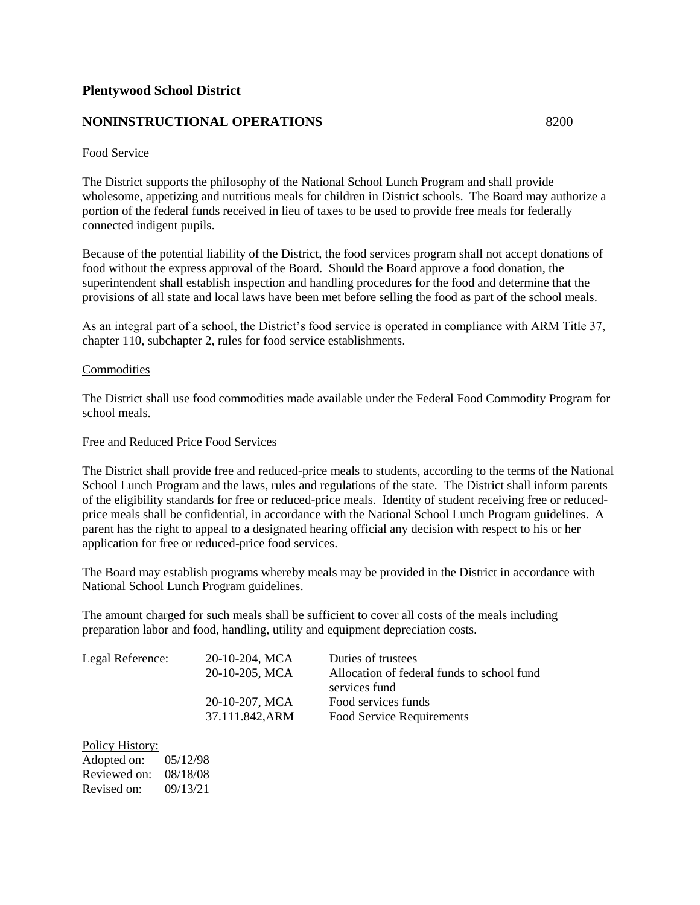# **NONINSTRUCTIONAL OPERATIONS** 8200

#### Food Service

The District supports the philosophy of the National School Lunch Program and shall provide wholesome, appetizing and nutritious meals for children in District schools. The Board may authorize a portion of the federal funds received in lieu of taxes to be used to provide free meals for federally connected indigent pupils.

Because of the potential liability of the District, the food services program shall not accept donations of food without the express approval of the Board. Should the Board approve a food donation, the superintendent shall establish inspection and handling procedures for the food and determine that the provisions of all state and local laws have been met before selling the food as part of the school meals.

As an integral part of a school, the District's food service is operated in compliance with ARM Title 37, chapter 110, subchapter 2, rules for food service establishments.

#### **Commodities**

The District shall use food commodities made available under the Federal Food Commodity Program for school meals.

#### Free and Reduced Price Food Services

The District shall provide free and reduced-price meals to students, according to the terms of the National School Lunch Program and the laws, rules and regulations of the state. The District shall inform parents of the eligibility standards for free or reduced-price meals. Identity of student receiving free or reducedprice meals shall be confidential, in accordance with the National School Lunch Program guidelines. A parent has the right to appeal to a designated hearing official any decision with respect to his or her application for free or reduced-price food services.

The Board may establish programs whereby meals may be provided in the District in accordance with National School Lunch Program guidelines.

The amount charged for such meals shall be sufficient to cover all costs of the meals including preparation labor and food, handling, utility and equipment depreciation costs.

| 20-10-204, MCA | Duties of trustees                         |
|----------------|--------------------------------------------|
| 20-10-205, MCA | Allocation of federal funds to school fund |
|                | services fund                              |
| 20-10-207, MCA | Food services funds                        |
| 37.111.842.ARM | Food Service Requirements                  |
|                |                                            |

| Policy History: |          |
|-----------------|----------|
| Adopted on:     | 05/12/98 |
| Reviewed on:    | 08/18/08 |
| Revised on:     | 09/13/21 |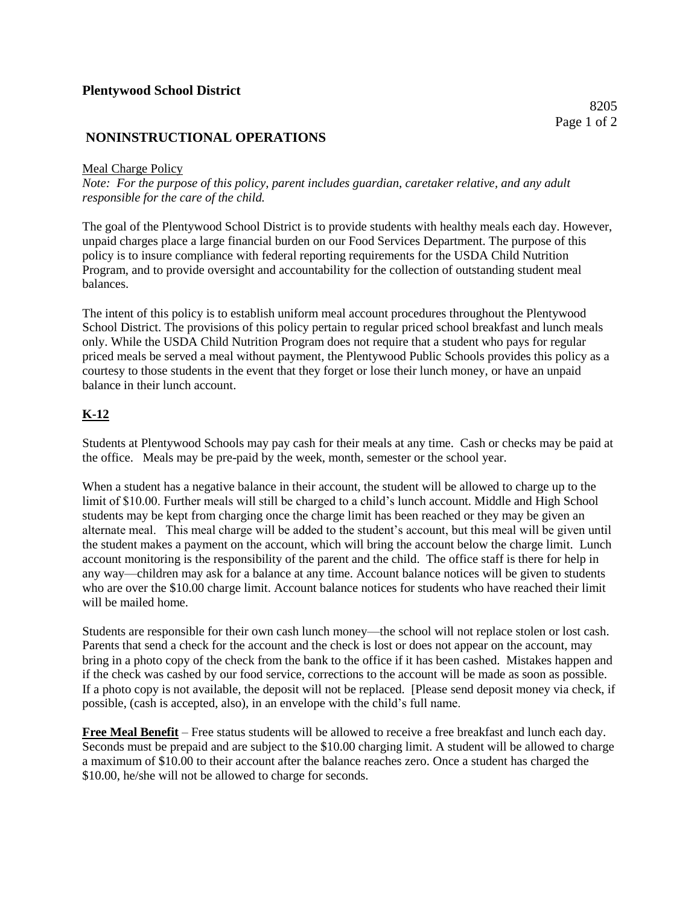# **NONINSTRUCTIONAL OPERATIONS**

#### Meal Charge Policy

*Note: For the purpose of this policy, parent includes guardian, caretaker relative, and any adult responsible for the care of the child.*

The goal of the Plentywood School District is to provide students with healthy meals each day. However, unpaid charges place a large financial burden on our Food Services Department. The purpose of this policy is to insure compliance with federal reporting requirements for the USDA Child Nutrition Program, and to provide oversight and accountability for the collection of outstanding student meal balances.

The intent of this policy is to establish uniform meal account procedures throughout the Plentywood School District. The provisions of this policy pertain to regular priced school breakfast and lunch meals only. While the USDA Child Nutrition Program does not require that a student who pays for regular priced meals be served a meal without payment, the Plentywood Public Schools provides this policy as a courtesy to those students in the event that they forget or lose their lunch money, or have an unpaid balance in their lunch account.

# **K-12**

Students at Plentywood Schools may pay cash for their meals at any time. Cash or checks may be paid at the office. Meals may be pre-paid by the week, month, semester or the school year.

When a student has a negative balance in their account, the student will be allowed to charge up to the limit of \$10.00. Further meals will still be charged to a child's lunch account. Middle and High School students may be kept from charging once the charge limit has been reached or they may be given an alternate meal. This meal charge will be added to the student's account, but this meal will be given until the student makes a payment on the account, which will bring the account below the charge limit. Lunch account monitoring is the responsibility of the parent and the child. The office staff is there for help in any way—children may ask for a balance at any time. Account balance notices will be given to students who are over the \$10.00 charge limit. Account balance notices for students who have reached their limit will be mailed home.

Students are responsible for their own cash lunch money—the school will not replace stolen or lost cash. Parents that send a check for the account and the check is lost or does not appear on the account, may bring in a photo copy of the check from the bank to the office if it has been cashed. Mistakes happen and if the check was cashed by our food service, corrections to the account will be made as soon as possible. If a photo copy is not available, the deposit will not be replaced. [Please send deposit money via check, if possible, (cash is accepted, also), in an envelope with the child's full name.

**Free Meal Benefit** – Free status students will be allowed to receive a free breakfast and lunch each day. Seconds must be prepaid and are subject to the \$10.00 charging limit. A student will be allowed to charge a maximum of \$10.00 to their account after the balance reaches zero. Once a student has charged the \$10.00, he/she will not be allowed to charge for seconds.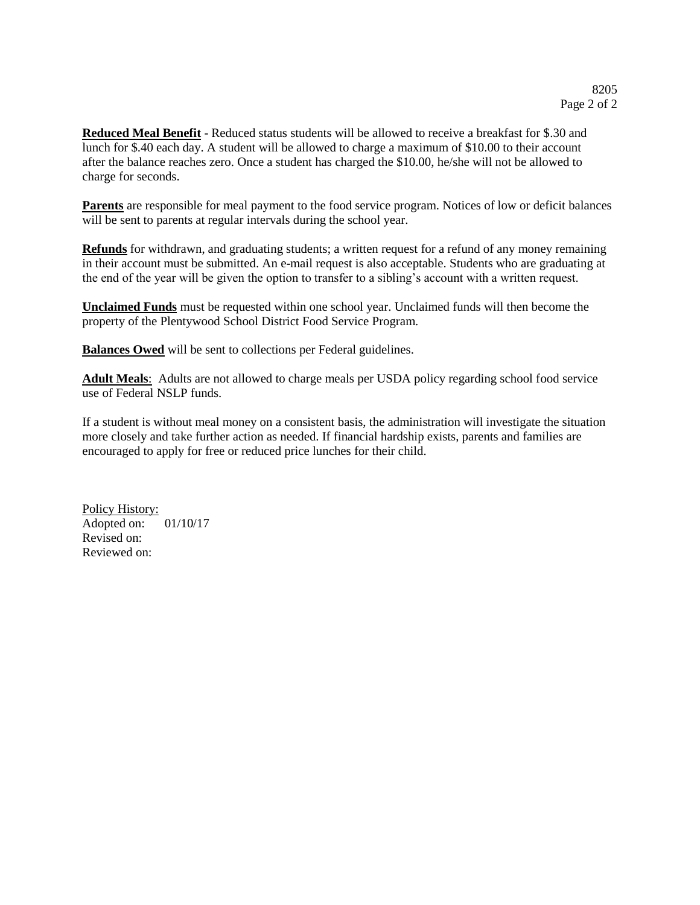**Reduced Meal Benefit** - Reduced status students will be allowed to receive a breakfast for \$.30 and lunch for \$.40 each day. A student will be allowed to charge a maximum of \$10.00 to their account after the balance reaches zero. Once a student has charged the \$10.00, he/she will not be allowed to charge for seconds.

**Parents** are responsible for meal payment to the food service program. Notices of low or deficit balances will be sent to parents at regular intervals during the school year.

**Refunds** for withdrawn, and graduating students; a written request for a refund of any money remaining in their account must be submitted. An e-mail request is also acceptable. Students who are graduating at the end of the year will be given the option to transfer to a sibling's account with a written request.

**Unclaimed Funds** must be requested within one school year. Unclaimed funds will then become the property of the Plentywood School District Food Service Program.

**Balances Owed** will be sent to collections per Federal guidelines.

**Adult Meals**: Adults are not allowed to charge meals per USDA policy regarding school food service use of Federal NSLP funds.

If a student is without meal money on a consistent basis, the administration will investigate the situation more closely and take further action as needed. If financial hardship exists, parents and families are encouraged to apply for free or reduced price lunches for their child.

Policy History: Adopted on: 01/10/17 Revised on: Reviewed on: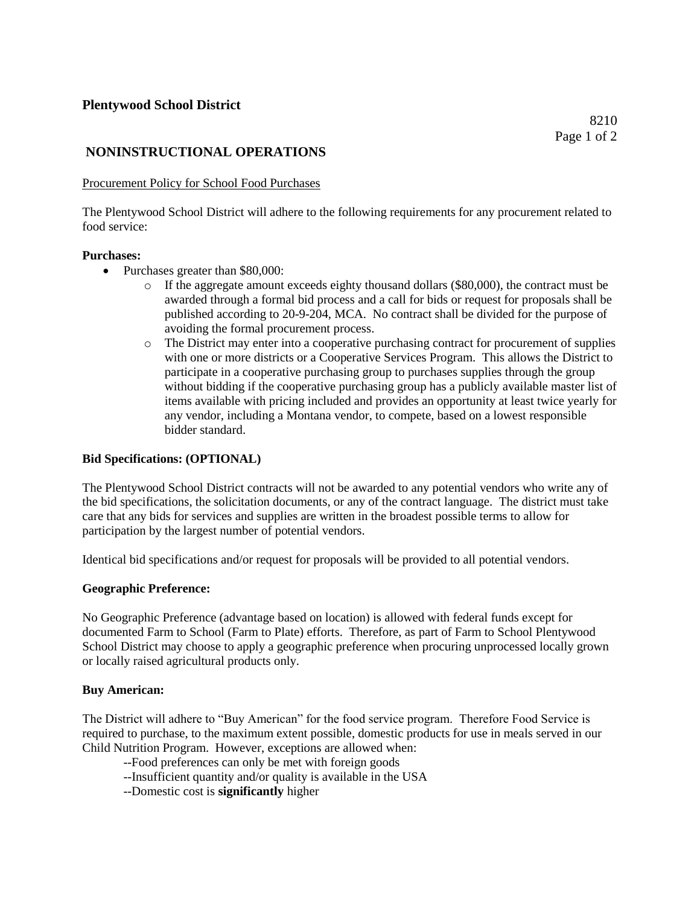# **NONINSTRUCTIONAL OPERATIONS**

#### Procurement Policy for School Food Purchases

The Plentywood School District will adhere to the following requirements for any procurement related to food service:

#### **Purchases:**

- Purchases greater than \$80,000:
	- o If the aggregate amount exceeds eighty thousand dollars (\$80,000), the contract must be awarded through a formal bid process and a call for bids or request for proposals shall be published according to 20-9-204, MCA. No contract shall be divided for the purpose of avoiding the formal procurement process.
	- o The District may enter into a cooperative purchasing contract for procurement of supplies with one or more districts or a Cooperative Services Program. This allows the District to participate in a cooperative purchasing group to purchases supplies through the group without bidding if the cooperative purchasing group has a publicly available master list of items available with pricing included and provides an opportunity at least twice yearly for any vendor, including a Montana vendor, to compete, based on a lowest responsible bidder standard.

#### **Bid Specifications: (OPTIONAL)**

The Plentywood School District contracts will not be awarded to any potential vendors who write any of the bid specifications, the solicitation documents, or any of the contract language. The district must take care that any bids for services and supplies are written in the broadest possible terms to allow for participation by the largest number of potential vendors.

Identical bid specifications and/or request for proposals will be provided to all potential vendors.

#### **Geographic Preference:**

No Geographic Preference (advantage based on location) is allowed with federal funds except for documented Farm to School (Farm to Plate) efforts. Therefore, as part of Farm to School Plentywood School District may choose to apply a geographic preference when procuring unprocessed locally grown or locally raised agricultural products only.

#### **Buy American:**

The District will adhere to "Buy American" for the food service program. Therefore Food Service is required to purchase, to the maximum extent possible, domestic products for use in meals served in our Child Nutrition Program. However, exceptions are allowed when:

- --Food preferences can only be met with foreign goods
- --Insufficient quantity and/or quality is available in the USA
- --Domestic cost is **significantly** higher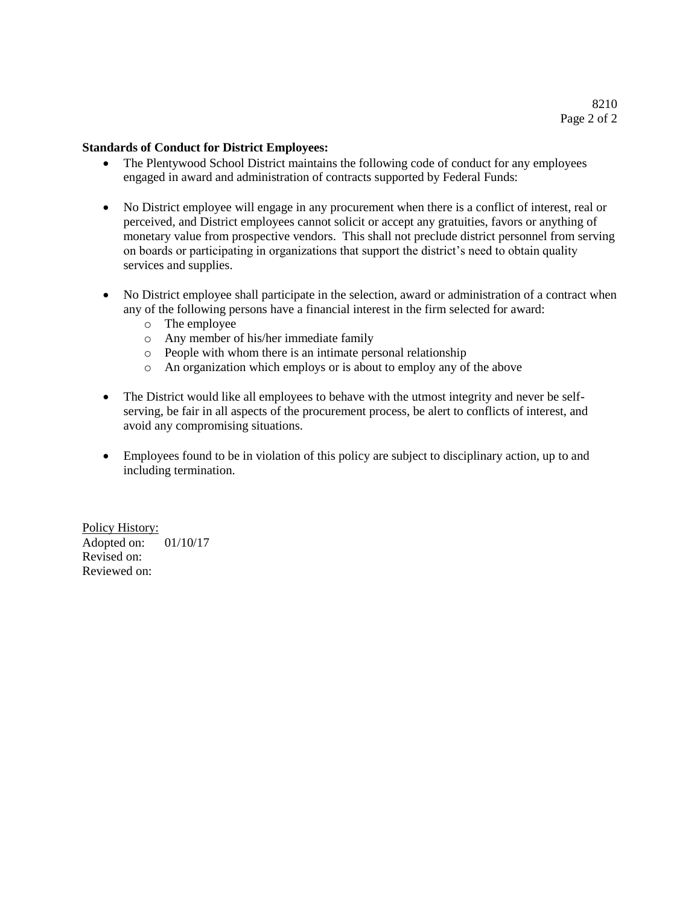#### **Standards of Conduct for District Employees:**

- The Plentywood School District maintains the following code of conduct for any employees engaged in award and administration of contracts supported by Federal Funds:
- No District employee will engage in any procurement when there is a conflict of interest, real or perceived, and District employees cannot solicit or accept any gratuities, favors or anything of monetary value from prospective vendors. This shall not preclude district personnel from serving on boards or participating in organizations that support the district's need to obtain quality services and supplies.
- No District employee shall participate in the selection, award or administration of a contract when any of the following persons have a financial interest in the firm selected for award:
	- o The employee
	- o Any member of his/her immediate family
	- o People with whom there is an intimate personal relationship
	- o An organization which employs or is about to employ any of the above
- The District would like all employees to behave with the utmost integrity and never be selfserving, be fair in all aspects of the procurement process, be alert to conflicts of interest, and avoid any compromising situations.
- Employees found to be in violation of this policy are subject to disciplinary action, up to and including termination.

Policy History: Adopted on: 01/10/17 Revised on: Reviewed on: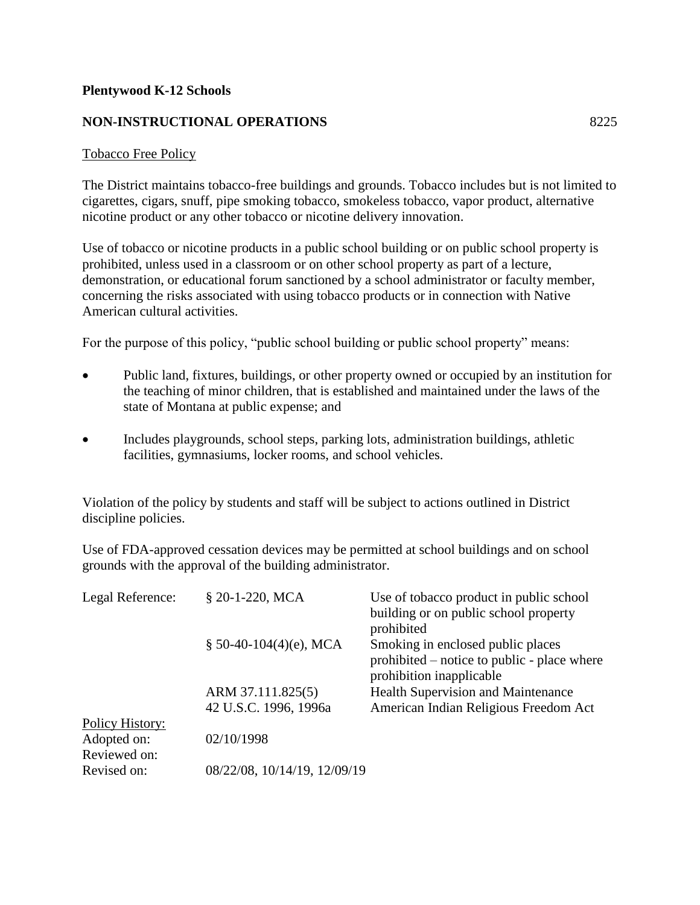# **Plentywood K-12 Schools**

# **NON-INSTRUCTIONAL OPERATIONS** 8225

#### Tobacco Free Policy

The District maintains tobacco-free buildings and grounds. Tobacco includes but is not limited to cigarettes, cigars, snuff, pipe smoking tobacco, smokeless tobacco, vapor product, alternative nicotine product or any other tobacco or nicotine delivery innovation.

Use of tobacco or nicotine products in a public school building or on public school property is prohibited, unless used in a classroom or on other school property as part of a lecture, demonstration, or educational forum sanctioned by a school administrator or faculty member, concerning the risks associated with using tobacco products or in connection with Native American cultural activities.

For the purpose of this policy, "public school building or public school property" means:

- Public land, fixtures, buildings, or other property owned or occupied by an institution for the teaching of minor children, that is established and maintained under the laws of the state of Montana at public expense; and
- Includes playgrounds, school steps, parking lots, administration buildings, athletic facilities, gymnasiums, locker rooms, and school vehicles.

Violation of the policy by students and staff will be subject to actions outlined in District discipline policies.

Use of FDA-approved cessation devices may be permitted at school buildings and on school grounds with the approval of the building administrator.

| Legal Reference: | § 20-1-220, MCA              | Use of tobacco product in public school     |
|------------------|------------------------------|---------------------------------------------|
|                  |                              | building or on public school property       |
|                  |                              | prohibited                                  |
|                  | $$50-40-104(4)(e)$ , MCA     | Smoking in enclosed public places           |
|                  |                              | prohibited – notice to public - place where |
|                  |                              | prohibition inapplicable                    |
|                  | ARM 37.111.825(5)            | <b>Health Supervision and Maintenance</b>   |
|                  | 42 U.S.C. 1996, 1996a        | American Indian Religious Freedom Act       |
| Policy History:  |                              |                                             |
| Adopted on:      | 02/10/1998                   |                                             |
| Reviewed on:     |                              |                                             |
| Revised on:      | 08/22/08, 10/14/19, 12/09/19 |                                             |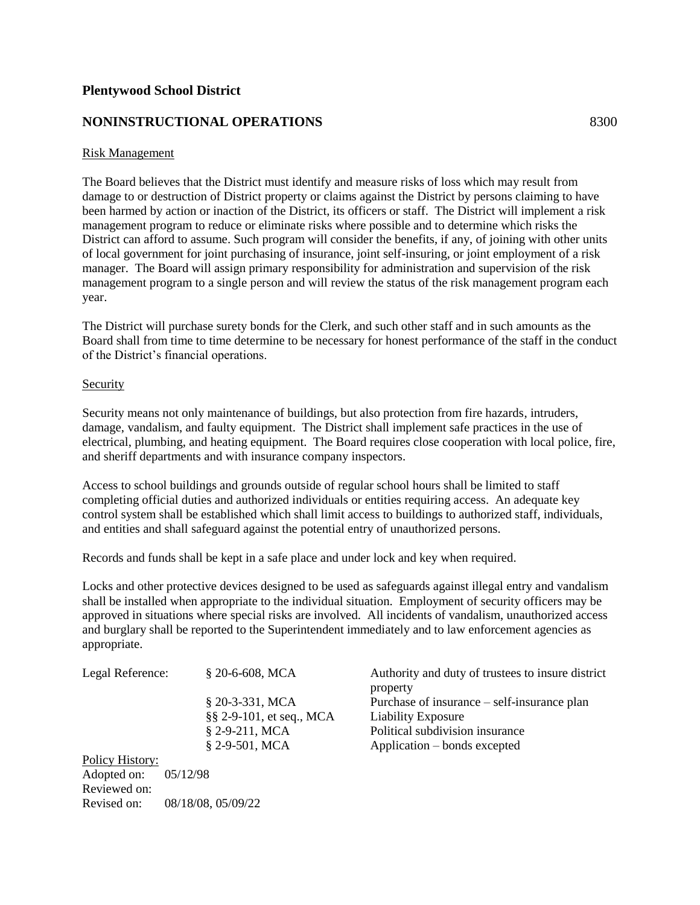# **NONINSTRUCTIONAL OPERATIONS** 8300

#### Risk Management

The Board believes that the District must identify and measure risks of loss which may result from damage to or destruction of District property or claims against the District by persons claiming to have been harmed by action or inaction of the District, its officers or staff. The District will implement a risk management program to reduce or eliminate risks where possible and to determine which risks the District can afford to assume. Such program will consider the benefits, if any, of joining with other units of local government for joint purchasing of insurance, joint self-insuring, or joint employment of a risk manager. The Board will assign primary responsibility for administration and supervision of the risk management program to a single person and will review the status of the risk management program each year.

The District will purchase surety bonds for the Clerk, and such other staff and in such amounts as the Board shall from time to time determine to be necessary for honest performance of the staff in the conduct of the District's financial operations.

#### Security

Revised on: 08/18/08, 05/09/22

Security means not only maintenance of buildings, but also protection from fire hazards, intruders, damage, vandalism, and faulty equipment. The District shall implement safe practices in the use of electrical, plumbing, and heating equipment. The Board requires close cooperation with local police, fire, and sheriff departments and with insurance company inspectors.

Access to school buildings and grounds outside of regular school hours shall be limited to staff completing official duties and authorized individuals or entities requiring access. An adequate key control system shall be established which shall limit access to buildings to authorized staff, individuals, and entities and shall safeguard against the potential entry of unauthorized persons.

Records and funds shall be kept in a safe place and under lock and key when required.

Locks and other protective devices designed to be used as safeguards against illegal entry and vandalism shall be installed when appropriate to the individual situation. Employment of security officers may be approved in situations where special risks are involved. All incidents of vandalism, unauthorized access and burglary shall be reported to the Superintendent immediately and to law enforcement agencies as appropriate.

| Legal Reference: | $$20-6-608$ , MCA          | Authority and duty of trustees to insure district<br>property |
|------------------|----------------------------|---------------------------------------------------------------|
|                  | $$20-3-331$ , MCA          | Purchase of insurance – self-insurance plan                   |
|                  | $\S$ 2-9-101, et seq., MCA | <b>Liability Exposure</b>                                     |
|                  | $$2-9-211$ , MCA           | Political subdivision insurance                               |
|                  | $\S$ 2-9-501, MCA          | Application – bonds excepted                                  |
| Policy History:  |                            |                                                               |
| Adopted on:      | 05/12/98                   |                                                               |
| Reviewed on:     |                            |                                                               |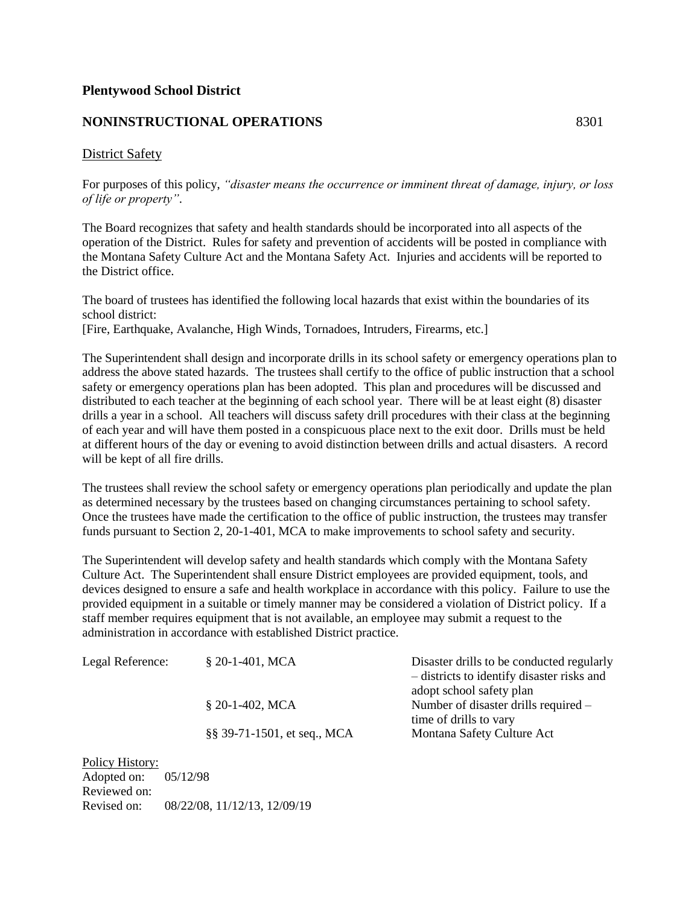## **NONINSTRUCTIONAL OPERATIONS** 8301

#### District Safety

For purposes of this policy, *"disaster means the occurrence or imminent threat of damage, injury, or loss of life or property"*.

The Board recognizes that safety and health standards should be incorporated into all aspects of the operation of the District. Rules for safety and prevention of accidents will be posted in compliance with the Montana Safety Culture Act and the Montana Safety Act. Injuries and accidents will be reported to the District office.

The board of trustees has identified the following local hazards that exist within the boundaries of its school district:

[Fire, Earthquake, Avalanche, High Winds, Tornadoes, Intruders, Firearms, etc.]

The Superintendent shall design and incorporate drills in its school safety or emergency operations plan to address the above stated hazards. The trustees shall certify to the office of public instruction that a school safety or emergency operations plan has been adopted. This plan and procedures will be discussed and distributed to each teacher at the beginning of each school year. There will be at least eight (8) disaster drills a year in a school. All teachers will discuss safety drill procedures with their class at the beginning of each year and will have them posted in a conspicuous place next to the exit door. Drills must be held at different hours of the day or evening to avoid distinction between drills and actual disasters. A record will be kept of all fire drills.

The trustees shall review the school safety or emergency operations plan periodically and update the plan as determined necessary by the trustees based on changing circumstances pertaining to school safety. Once the trustees have made the certification to the office of public instruction, the trustees may transfer funds pursuant to Section 2, 20-1-401, MCA to make improvements to school safety and security.

The Superintendent will develop safety and health standards which comply with the Montana Safety Culture Act. The Superintendent shall ensure District employees are provided equipment, tools, and devices designed to ensure a safe and health workplace in accordance with this policy. Failure to use the provided equipment in a suitable or timely manner may be considered a violation of District policy. If a staff member requires equipment that is not available, an employee may submit a request to the administration in accordance with established District practice.

| Legal Reference: | $$20-1-401$ , MCA           | Disaster drills to be conducted regularly<br>- districts to identify disaster risks and |
|------------------|-----------------------------|-----------------------------------------------------------------------------------------|
|                  |                             | adopt school safety plan                                                                |
|                  | $$20-1-402$ , MCA           | Number of disaster drills required –<br>time of drills to vary                          |
|                  | §§ 39-71-1501, et seq., MCA | Montana Safety Culture Act                                                              |
|                  |                             |                                                                                         |

Policy History: Adopted on: 05/12/98 Reviewed on: Revised on: 08/22/08, 11/12/13, 12/09/19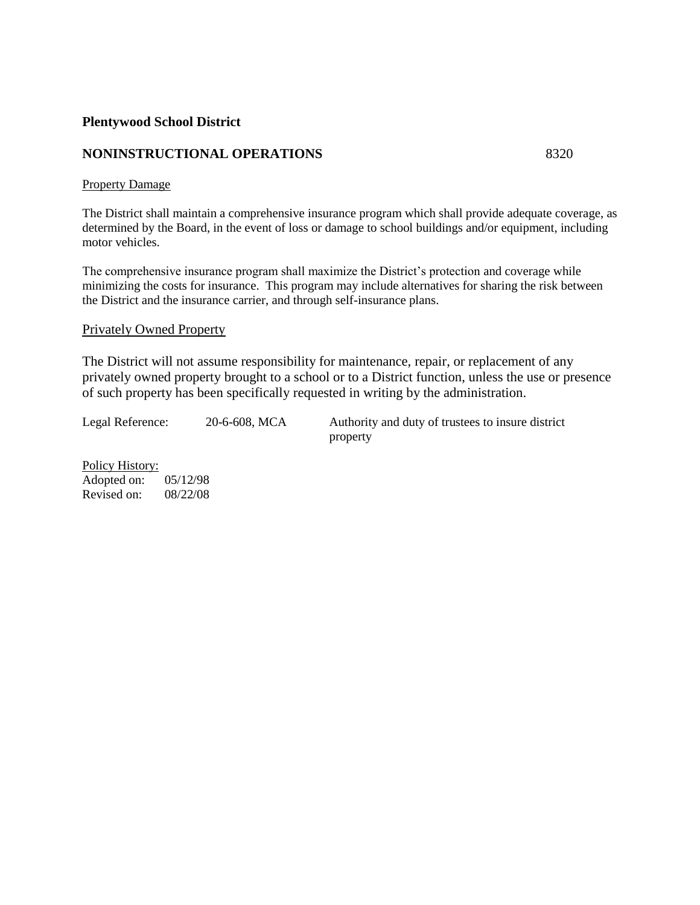# **NONINSTRUCTIONAL OPERATIONS** 8320

#### Property Damage

The District shall maintain a comprehensive insurance program which shall provide adequate coverage, as determined by the Board, in the event of loss or damage to school buildings and/or equipment, including motor vehicles.

The comprehensive insurance program shall maximize the District's protection and coverage while minimizing the costs for insurance. This program may include alternatives for sharing the risk between the District and the insurance carrier, and through self-insurance plans.

#### Privately Owned Property

The District will not assume responsibility for maintenance, repair, or replacement of any privately owned property brought to a school or to a District function, unless the use or presence of such property has been specifically requested in writing by the administration.

Legal Reference: 20-6-608, MCA Authority and duty of trustees to insure district property

Policy History: Adopted on: 05/12/98 Revised on: 08/22/08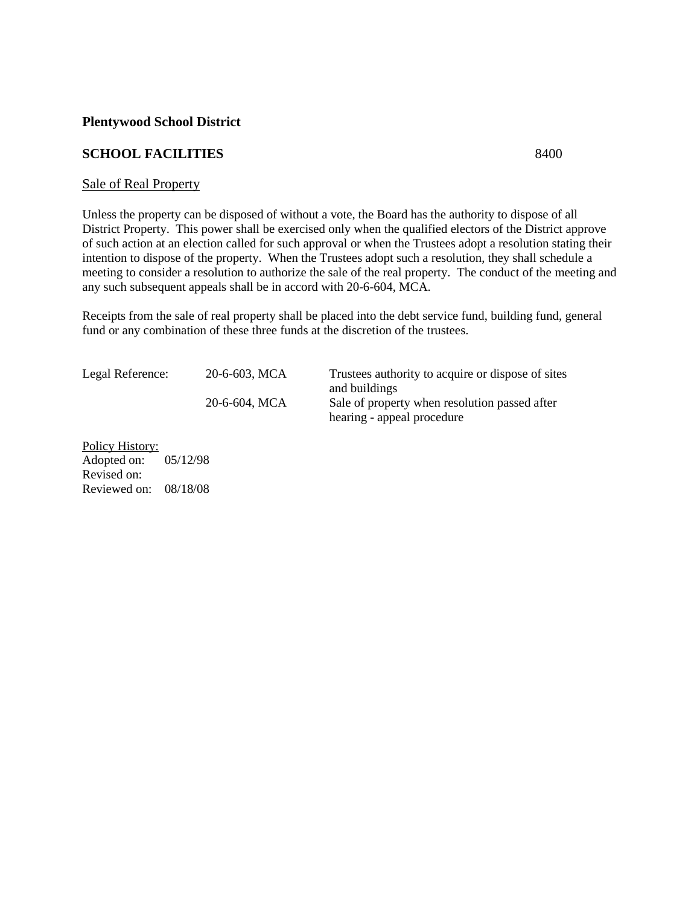# **SCHOOL FACILITIES** 8400

#### Sale of Real Property

Unless the property can be disposed of without a vote, the Board has the authority to dispose of all District Property. This power shall be exercised only when the qualified electors of the District approve of such action at an election called for such approval or when the Trustees adopt a resolution stating their intention to dispose of the property. When the Trustees adopt such a resolution, they shall schedule a meeting to consider a resolution to authorize the sale of the real property. The conduct of the meeting and any such subsequent appeals shall be in accord with 20-6-604, MCA.

Receipts from the sale of real property shall be placed into the debt service fund, building fund, general fund or any combination of these three funds at the discretion of the trustees.

| Legal Reference: | $20-6-603$ , MCA | Trustees authority to acquire or dispose of sites<br>and buildings |
|------------------|------------------|--------------------------------------------------------------------|
|                  | 20-6-604, MCA    | Sale of property when resolution passed after                      |
|                  |                  | hearing - appeal procedure                                         |

Policy History: Adopted on: 05/12/98 Revised on: Reviewed on: 08/18/08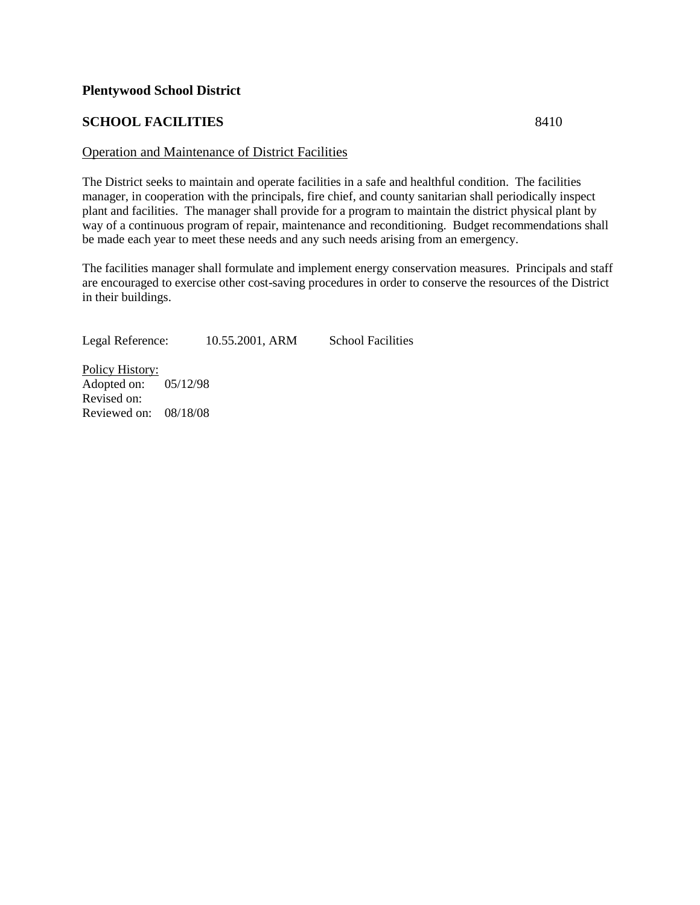# **SCHOOL FACILITIES** 8410

#### Operation and Maintenance of District Facilities

The District seeks to maintain and operate facilities in a safe and healthful condition. The facilities manager, in cooperation with the principals, fire chief, and county sanitarian shall periodically inspect plant and facilities. The manager shall provide for a program to maintain the district physical plant by way of a continuous program of repair, maintenance and reconditioning. Budget recommendations shall be made each year to meet these needs and any such needs arising from an emergency.

The facilities manager shall formulate and implement energy conservation measures. Principals and staff are encouraged to exercise other cost-saving procedures in order to conserve the resources of the District in their buildings.

Legal Reference: 10.55.2001, ARM School Facilities

Policy History: Adopted on: 05/12/98 Revised on: Reviewed on: 08/18/08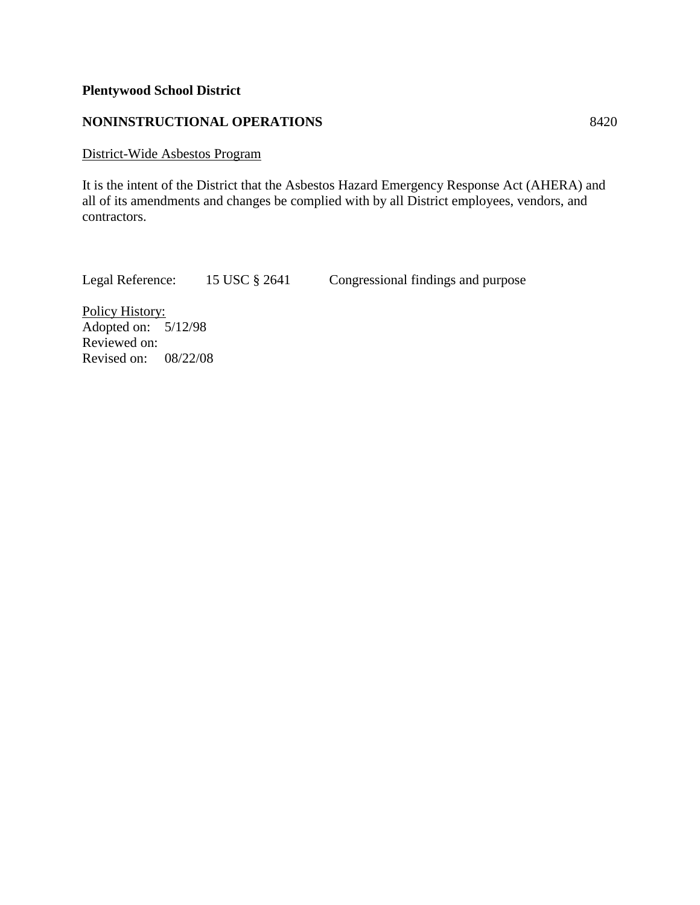# **NONINSTRUCTIONAL OPERATIONS** 8420

# District-Wide Asbestos Program

It is the intent of the District that the Asbestos Hazard Emergency Response Act (AHERA) and all of its amendments and changes be complied with by all District employees, vendors, and contractors.

Legal Reference: 15 USC § 2641 Congressional findings and purpose

Policy History: Adopted on: 5/12/98 Reviewed on: Revised on: 08/22/08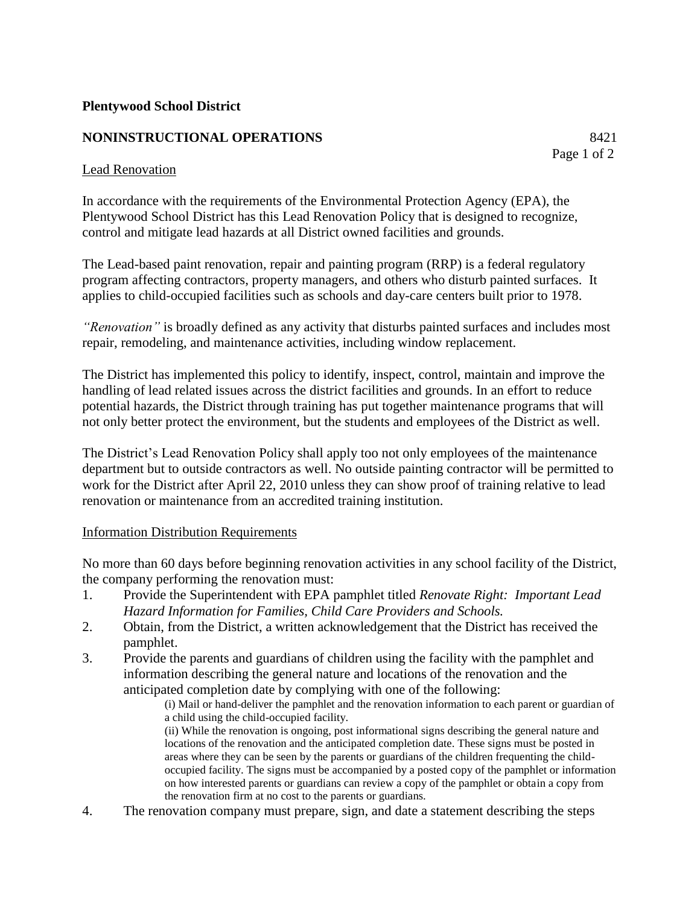# **NONINSTRUCTIONAL OPERATIONS** 8421

# Lead Renovation

In accordance with the requirements of the Environmental Protection Agency (EPA), the Plentywood School District has this Lead Renovation Policy that is designed to recognize, control and mitigate lead hazards at all District owned facilities and grounds.

The Lead-based paint renovation, repair and painting program (RRP) is a federal regulatory program affecting contractors, property managers, and others who disturb painted surfaces. It applies to child-occupied facilities such as schools and day-care centers built prior to 1978.

*"Renovation"* is broadly defined as any activity that disturbs painted surfaces and includes most repair, remodeling, and maintenance activities, including window replacement.

The District has implemented this policy to identify, inspect, control, maintain and improve the handling of lead related issues across the district facilities and grounds. In an effort to reduce potential hazards, the District through training has put together maintenance programs that will not only better protect the environment, but the students and employees of the District as well.

The District's Lead Renovation Policy shall apply too not only employees of the maintenance department but to outside contractors as well. No outside painting contractor will be permitted to work for the District after April 22, 2010 unless they can show proof of training relative to lead renovation or maintenance from an accredited training institution.

# Information Distribution Requirements

No more than 60 days before beginning renovation activities in any school facility of the District, the company performing the renovation must:

- 1. Provide the Superintendent with EPA pamphlet titled *Renovate Right: Important Lead Hazard Information for Families, Child Care Providers and Schools.*
- 2. Obtain, from the District, a written acknowledgement that the District has received the pamphlet.
- 3. Provide the parents and guardians of children using the facility with the pamphlet and information describing the general nature and locations of the renovation and the anticipated completion date by complying with one of the following:

(i) Mail or hand-deliver the pamphlet and the renovation information to each parent or guardian of a child using the child-occupied facility.

(ii) While the renovation is ongoing, post informational signs describing the general nature and locations of the renovation and the anticipated completion date. These signs must be posted in areas where they can be seen by the parents or guardians of the children frequenting the childoccupied facility. The signs must be accompanied by a posted copy of the pamphlet or information on how interested parents or guardians can review a copy of the pamphlet or obtain a copy from the renovation firm at no cost to the parents or guardians.

4. The renovation company must prepare, sign, and date a statement describing the steps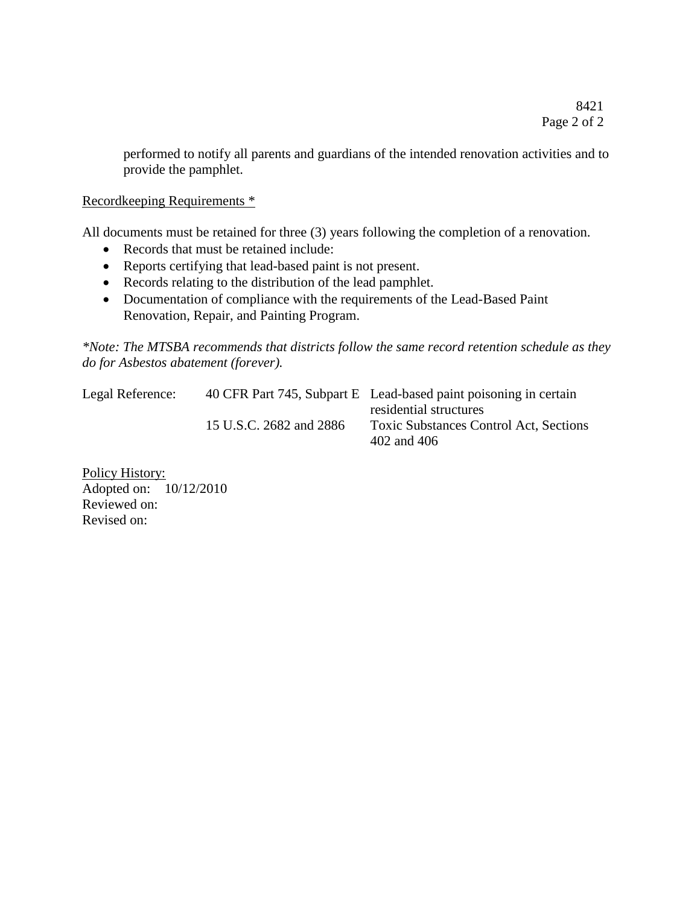performed to notify all parents and guardians of the intended renovation activities and to provide the pamphlet.

Recordkeeping Requirements \*

All documents must be retained for three (3) years following the completion of a renovation.

- Records that must be retained include:
- Reports certifying that lead-based paint is not present.
- Records relating to the distribution of the lead pamphlet.
- Documentation of compliance with the requirements of the Lead-Based Paint Renovation, Repair, and Painting Program.

*\*Note: The MTSBA recommends that districts follow the same record retention schedule as they do for Asbestos abatement (forever).*

| Legal Reference: |                         | 40 CFR Part 745, Subpart E Lead-based paint poisoning in certain |
|------------------|-------------------------|------------------------------------------------------------------|
|                  |                         | residential structures                                           |
|                  | 15 U.S.C. 2682 and 2886 | <b>Toxic Substances Control Act, Sections</b>                    |
|                  |                         | 402 and 406                                                      |

Policy History: Adopted on: 10/12/2010 Reviewed on: Revised on: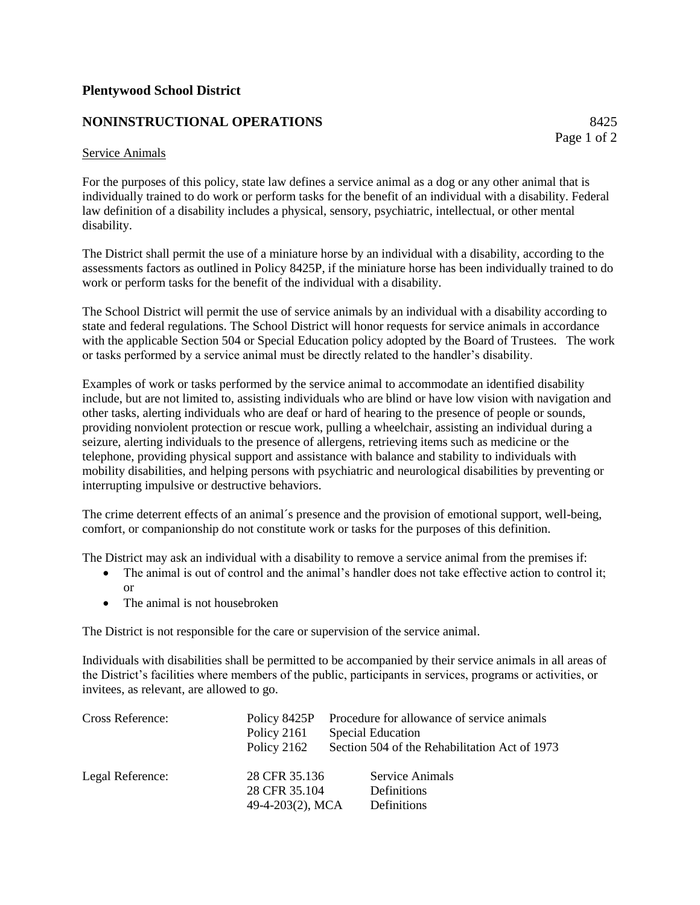# **NONINSTRUCTIONAL OPERATIONS** 8425

Page 1 of 2

#### Service Animals

For the purposes of this policy, state law defines a service animal as a dog or any other animal that is individually trained to do work or perform tasks for the benefit of an individual with a disability. Federal law definition of a disability includes a physical, sensory, psychiatric, intellectual, or other mental disability.

The District shall permit the use of a miniature horse by an individual with a disability, according to the assessments factors as outlined in Policy 8425P, if the miniature horse has been individually trained to do work or perform tasks for the benefit of the individual with a disability.

The School District will permit the use of service animals by an individual with a disability according to state and federal regulations. The School District will honor requests for service animals in accordance with the applicable Section 504 or Special Education policy adopted by the Board of Trustees. The work or tasks performed by a service animal must be directly related to the handler's disability.

Examples of work or tasks performed by the service animal to accommodate an identified disability include, but are not limited to, assisting individuals who are blind or have low vision with navigation and other tasks, alerting individuals who are deaf or hard of hearing to the presence of people or sounds, providing nonviolent protection or rescue work, pulling a wheelchair, assisting an individual during a seizure, alerting individuals to the presence of allergens, retrieving items such as medicine or the telephone, providing physical support and assistance with balance and stability to individuals with mobility disabilities, and helping persons with psychiatric and neurological disabilities by preventing or interrupting impulsive or destructive behaviors.

The crime deterrent effects of an animal´s presence and the provision of emotional support, well-being, comfort, or companionship do not constitute work or tasks for the purposes of this definition.

The District may ask an individual with a disability to remove a service animal from the premises if:

- The animal is out of control and the animal's handler does not take effective action to control it; or
- The animal is not housebroken

The District is not responsible for the care or supervision of the service animal.

Individuals with disabilities shall be permitted to be accompanied by their service animals in all areas of the District's facilities where members of the public, participants in services, programs or activities, or invitees, as relevant, are allowed to go.

| Cross Reference: |                  | Policy 8425P Procedure for allowance of service animals |
|------------------|------------------|---------------------------------------------------------|
|                  | Policy 2161      | <b>Special Education</b>                                |
|                  | Policy 2162      | Section 504 of the Rehabilitation Act of 1973           |
| Legal Reference: | 28 CFR 35.136    | Service Animals                                         |
|                  | 28 CFR 35.104    | Definitions                                             |
|                  | 49-4-203(2), MCA | Definitions                                             |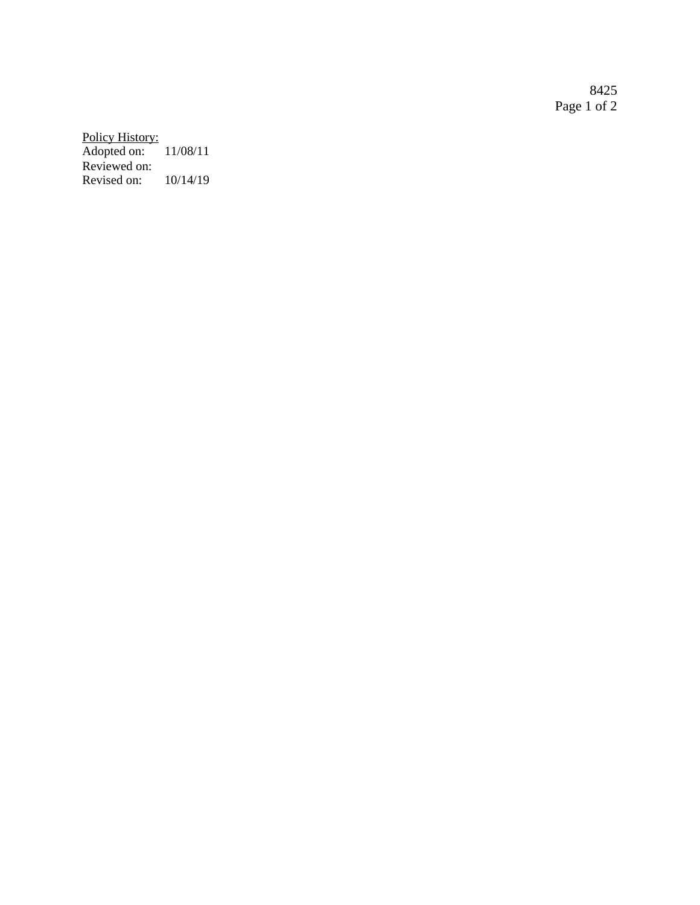8425 Page 1 of 2

Policy History: Adopted on: 11/08/11 Reviewed on: Revised on: 10/14/19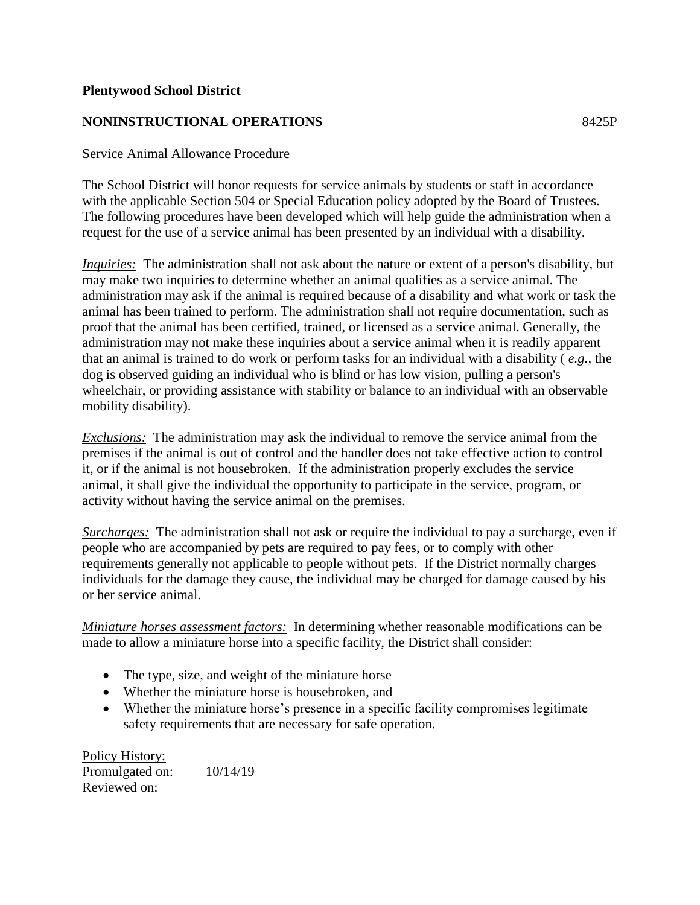# **NONINSTRUCTIONAL OPERATIONS** 8425P

# Service Animal Allowance Procedure

The School District will honor requests for service animals by students or staff in accordance with the applicable Section 504 or Special Education policy adopted by the Board of Trustees. The following procedures have been developed which will help guide the administration when a request for the use of a service animal has been presented by an individual with a disability.

*Inquiries:* The administration shall not ask about the nature or extent of a person's disability, but may make two inquiries to determine whether an animal qualifies as a service animal. The administration may ask if the animal is required because of a disability and what work or task the animal has been trained to perform. The administration shall not require documentation, such as proof that the animal has been certified, trained, or licensed as a service animal. Generally, the administration may not make these inquiries about a service animal when it is readily apparent that an animal is trained to do work or perform tasks for an individual with a disability ( *e.g.,* the dog is observed guiding an individual who is blind or has low vision, pulling a person's wheelchair, or providing assistance with stability or balance to an individual with an observable mobility disability).

*Exclusions:* The administration may ask the individual to remove the service animal from the premises if the animal is out of control and the handler does not take effective action to control it, or if the animal is not housebroken. If the administration properly excludes the service animal, it shall give the individual the opportunity to participate in the service, program, or activity without having the service animal on the premises.

*Surcharges:* The administration shall not ask or require the individual to pay a surcharge, even if people who are accompanied by pets are required to pay fees, or to comply with other requirements generally not applicable to people without pets. If the District normally charges individuals for the damage they cause, the individual may be charged for damage caused by his or her service animal.

*Miniature horses assessment factors:* In determining whether reasonable modifications can be made to allow a miniature horse into a specific facility, the District shall consider:

- The type, size, and weight of the miniature horse
- Whether the miniature horse is housebroken, and
- Whether the miniature horse's presence in a specific facility compromises legitimate safety requirements that are necessary for safe operation.

Policy History: Promulgated on: 10/14/19 Reviewed on: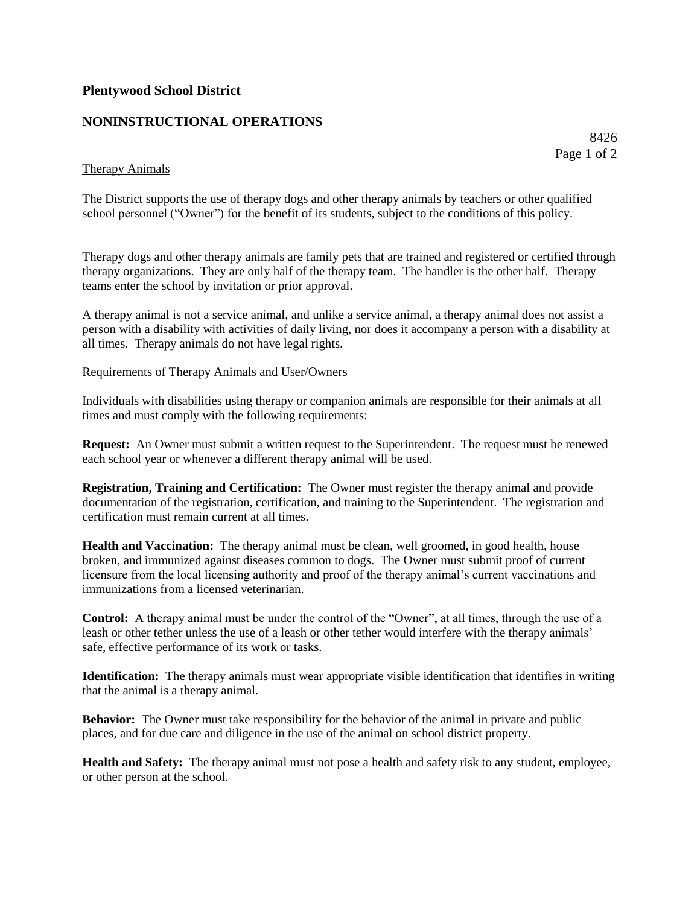# **NONINSTRUCTIONAL OPERATIONS**

8426 Page 1 of 2

#### Therapy Animals

The District supports the use of therapy dogs and other therapy animals by teachers or other qualified school personnel ("Owner") for the benefit of its students, subject to the conditions of this policy.

Therapy dogs and other therapy animals are family pets that are trained and registered or certified through therapy organizations. They are only half of the therapy team. The handler is the other half. Therapy teams enter the school by invitation or prior approval.

A therapy animal is not a service animal, and unlike a service animal, a therapy animal does not assist a person with a disability with activities of daily living, nor does it accompany a person with a disability at all times. Therapy animals do not have legal rights.

#### Requirements of Therapy Animals and User/Owners

Individuals with disabilities using therapy or companion animals are responsible for their animals at all times and must comply with the following requirements:

**Request:** An Owner must submit a written request to the Superintendent. The request must be renewed each school year or whenever a different therapy animal will be used.

**Registration, Training and Certification:** The Owner must register the therapy animal and provide documentation of the registration, certification, and training to the Superintendent. The registration and certification must remain current at all times.

**Health and Vaccination:** The therapy animal must be clean, well groomed, in good health, house broken, and immunized against diseases common to dogs. The Owner must submit proof of current licensure from the local licensing authority and proof of the therapy animal's current vaccinations and immunizations from a licensed veterinarian.

**Control:** A therapy animal must be under the control of the "Owner", at all times, through the use of a leash or other tether unless the use of a leash or other tether would interfere with the therapy animals' safe, effective performance of its work or tasks.

**Identification:** The therapy animals must wear appropriate visible identification that identifies in writing that the animal is a therapy animal.

**Behavior:** The Owner must take responsibility for the behavior of the animal in private and public places, and for due care and diligence in the use of the animal on school district property.

**Health and Safety:** The therapy animal must not pose a health and safety risk to any student, employee, or other person at the school.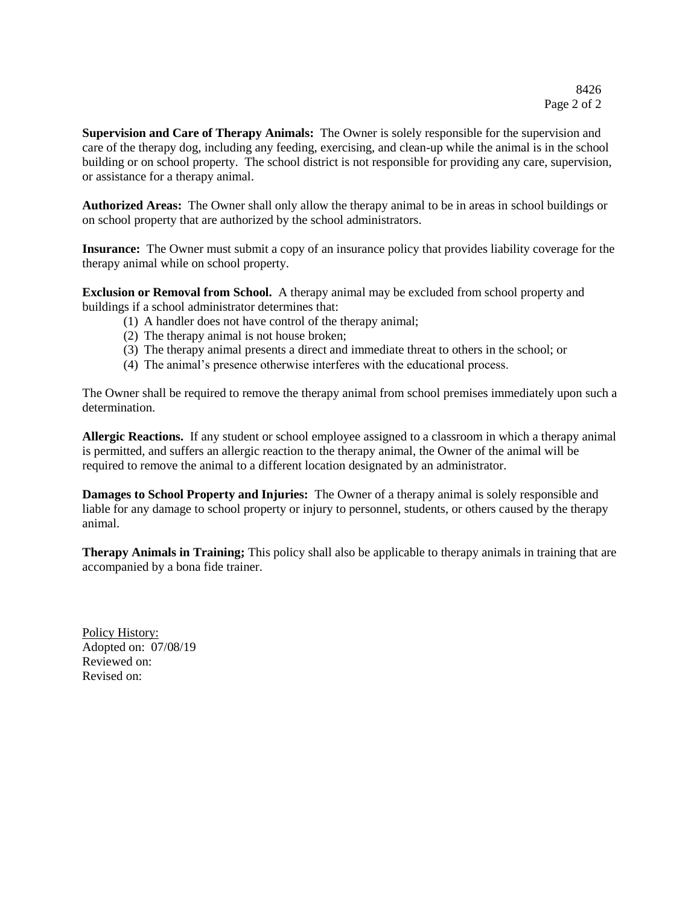**Supervision and Care of Therapy Animals:** The Owner is solely responsible for the supervision and care of the therapy dog, including any feeding, exercising, and clean-up while the animal is in the school building or on school property. The school district is not responsible for providing any care, supervision, or assistance for a therapy animal.

**Authorized Areas:** The Owner shall only allow the therapy animal to be in areas in school buildings or on school property that are authorized by the school administrators.

**Insurance:** The Owner must submit a copy of an insurance policy that provides liability coverage for the therapy animal while on school property.

**Exclusion or Removal from School.** A therapy animal may be excluded from school property and buildings if a school administrator determines that:

- (1) A handler does not have control of the therapy animal;
- (2) The therapy animal is not house broken;
- (3) The therapy animal presents a direct and immediate threat to others in the school; or
- (4) The animal's presence otherwise interferes with the educational process.

The Owner shall be required to remove the therapy animal from school premises immediately upon such a determination.

**Allergic Reactions.** If any student or school employee assigned to a classroom in which a therapy animal is permitted, and suffers an allergic reaction to the therapy animal, the Owner of the animal will be required to remove the animal to a different location designated by an administrator.

**Damages to School Property and Injuries:** The Owner of a therapy animal is solely responsible and liable for any damage to school property or injury to personnel, students, or others caused by the therapy animal.

**Therapy Animals in Training;** This policy shall also be applicable to therapy animals in training that are accompanied by a bona fide trainer.

Policy History: Adopted on: 07/08/19 Reviewed on: Revised on: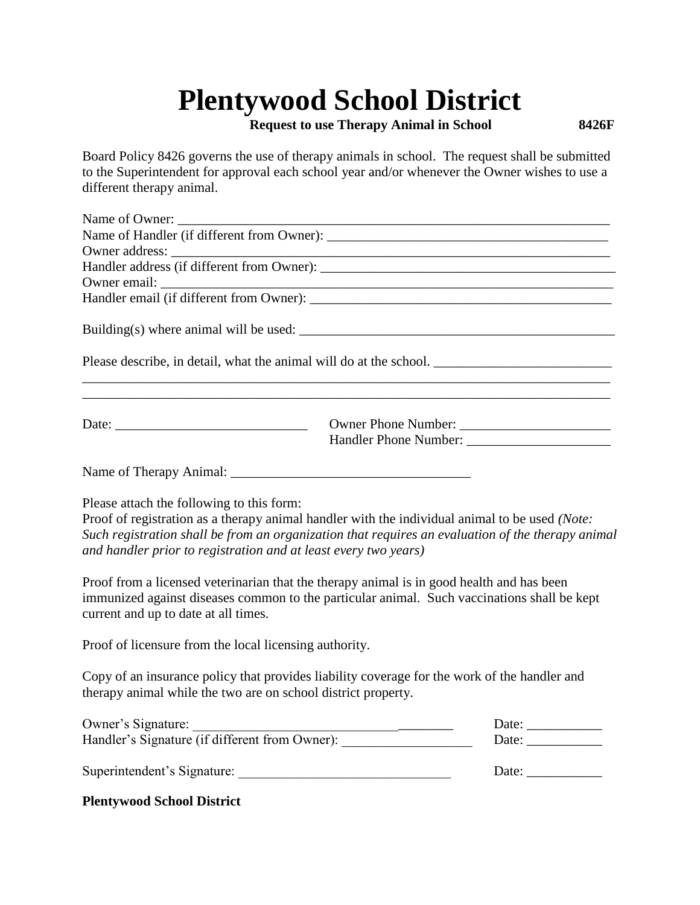**Request to use Therapy Animal in School 8426F**

Board Policy 8426 governs the use of therapy animals in school. The request shall be submitted to the Superintendent for approval each school year and/or whenever the Owner wishes to use a different therapy animal.

| Name of Owner:                                                                                                                                                                                                                                                                                                      |  |                                                          |  |
|---------------------------------------------------------------------------------------------------------------------------------------------------------------------------------------------------------------------------------------------------------------------------------------------------------------------|--|----------------------------------------------------------|--|
| Name of Handler (if different from Owner):                                                                                                                                                                                                                                                                          |  |                                                          |  |
|                                                                                                                                                                                                                                                                                                                     |  |                                                          |  |
|                                                                                                                                                                                                                                                                                                                     |  |                                                          |  |
|                                                                                                                                                                                                                                                                                                                     |  |                                                          |  |
|                                                                                                                                                                                                                                                                                                                     |  |                                                          |  |
|                                                                                                                                                                                                                                                                                                                     |  |                                                          |  |
|                                                                                                                                                                                                                                                                                                                     |  |                                                          |  |
| ,我们也不能在这里的时候,我们也不能在这里的时候,我们也不能会在这里的时候,我们也不能会在这里的时候,我们也不能会在这里的时候,我们也不能会在这里的时候,我们也不                                                                                                                                                                                                                                   |  |                                                          |  |
|                                                                                                                                                                                                                                                                                                                     |  | Handler Phone Number:                                    |  |
|                                                                                                                                                                                                                                                                                                                     |  |                                                          |  |
| Please attach the following to this form:<br>Proof of registration as a therapy animal handler with the individual animal to be used (Note:<br>Such registration shall be from an organization that requires an evaluation of the therapy animal<br>and handler prior to registration and at least every two years) |  |                                                          |  |
| Proof from a licensed veterinarian that the therapy animal is in good health and has been<br>immunized against diseases common to the particular animal. Such vaccinations shall be kept<br>current and up to date at all times.                                                                                    |  |                                                          |  |
| Proof of licensure from the local licensing authority.                                                                                                                                                                                                                                                              |  |                                                          |  |
| Copy of an insurance policy that provides liability coverage for the work of the handler and<br>therapy animal while the two are on school district property.                                                                                                                                                       |  |                                                          |  |
|                                                                                                                                                                                                                                                                                                                     |  | Date: $\frac{1}{\sqrt{1-\frac{1}{2}} \cdot \frac{1}{2}}$ |  |
| Owner's Signature:<br>Handler's Signature (if different from Owner):                                                                                                                                                                                                                                                |  | Date: $\qquad \qquad$                                    |  |
| Superintendent's Signature:<br>Date:                                                                                                                                                                                                                                                                                |  |                                                          |  |

# **Plentywood School District**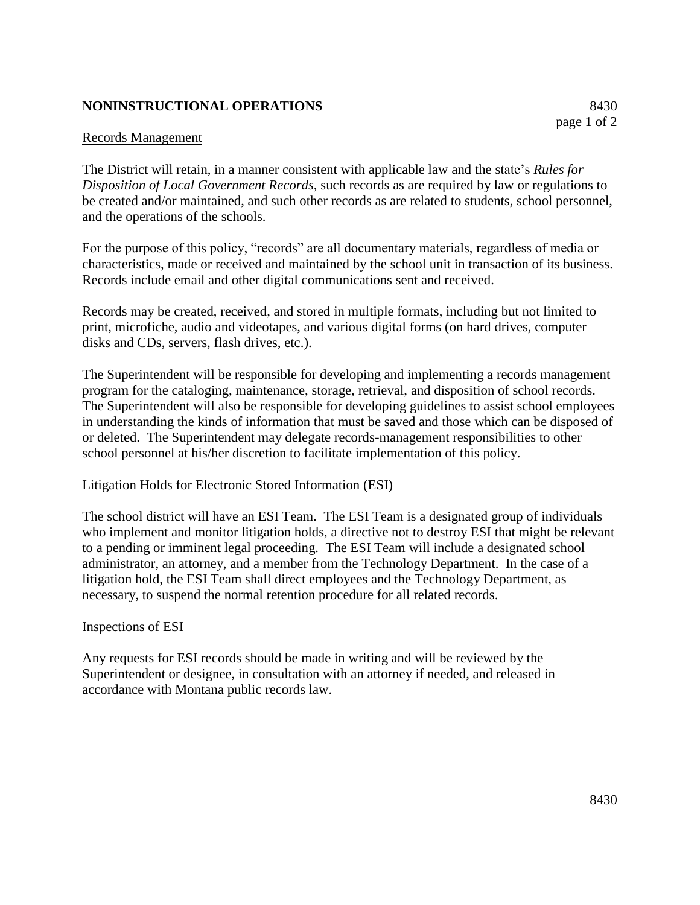# **NONINSTRUCTIONAL OPERATIONS** 8430

# Records Management

The District will retain, in a manner consistent with applicable law and the state's *Rules for Disposition of Local Government Records,* such records as are required by law or regulations to be created and/or maintained, and such other records as are related to students, school personnel, and the operations of the schools.

For the purpose of this policy, "records" are all documentary materials, regardless of media or characteristics, made or received and maintained by the school unit in transaction of its business. Records include email and other digital communications sent and received.

Records may be created, received, and stored in multiple formats, including but not limited to print, microfiche, audio and videotapes, and various digital forms (on hard drives, computer disks and CDs, servers, flash drives, etc.).

The Superintendent will be responsible for developing and implementing a records management program for the cataloging, maintenance, storage, retrieval, and disposition of school records. The Superintendent will also be responsible for developing guidelines to assist school employees in understanding the kinds of information that must be saved and those which can be disposed of or deleted. The Superintendent may delegate records-management responsibilities to other school personnel at his/her discretion to facilitate implementation of this policy.

Litigation Holds for Electronic Stored Information (ESI)

The school district will have an ESI Team. The ESI Team is a designated group of individuals who implement and monitor litigation holds, a directive not to destroy ESI that might be relevant to a pending or imminent legal proceeding. The ESI Team will include a designated school administrator, an attorney, and a member from the Technology Department. In the case of a litigation hold, the ESI Team shall direct employees and the Technology Department, as necessary, to suspend the normal retention procedure for all related records.

Inspections of ESI

Any requests for ESI records should be made in writing and will be reviewed by the Superintendent or designee, in consultation with an attorney if needed, and released in accordance with Montana public records law.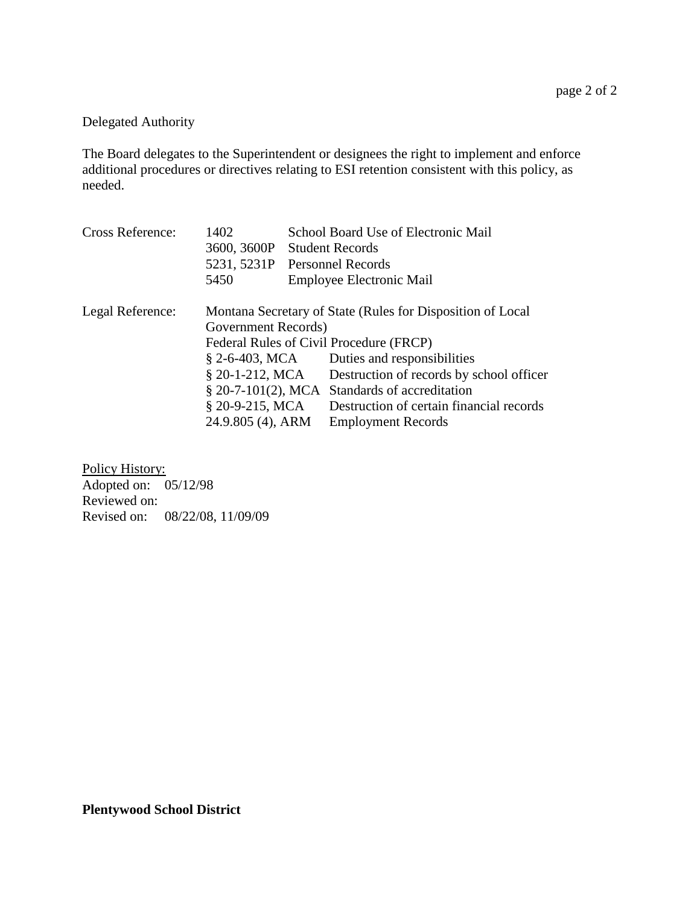# Delegated Authority

The Board delegates to the Superintendent or designees the right to implement and enforce additional procedures or directives relating to ESI retention consistent with this policy, as needed.

| <b>Cross Reference:</b> | 1402                          | School Board Use of Electronic Mail                        |
|-------------------------|-------------------------------|------------------------------------------------------------|
|                         | 3600, 3600P                   | <b>Student Records</b>                                     |
|                         | 5231, 5231P Personnel Records |                                                            |
|                         | 5450                          | Employee Electronic Mail                                   |
| Legal Reference:        |                               | Montana Secretary of State (Rules for Disposition of Local |
|                         | Government Records)           |                                                            |
|                         |                               | Federal Rules of Civil Procedure (FRCP)                    |
|                         | § 2-6-403, MCA                | Duties and responsibilities                                |
|                         | $$20-1-212$ , MCA             | Destruction of records by school officer                   |
|                         |                               | $\S$ 20-7-101(2), MCA Standards of accreditation           |
|                         | $$20-9-215$ , MCA             | Destruction of certain financial records                   |
|                         | 24.9.805 (4), ARM             | <b>Employment Records</b>                                  |

Policy History: Adopted on: 05/12/98 Reviewed on: Revised on: 08/22/08, 11/09/09

**Plentywood School District**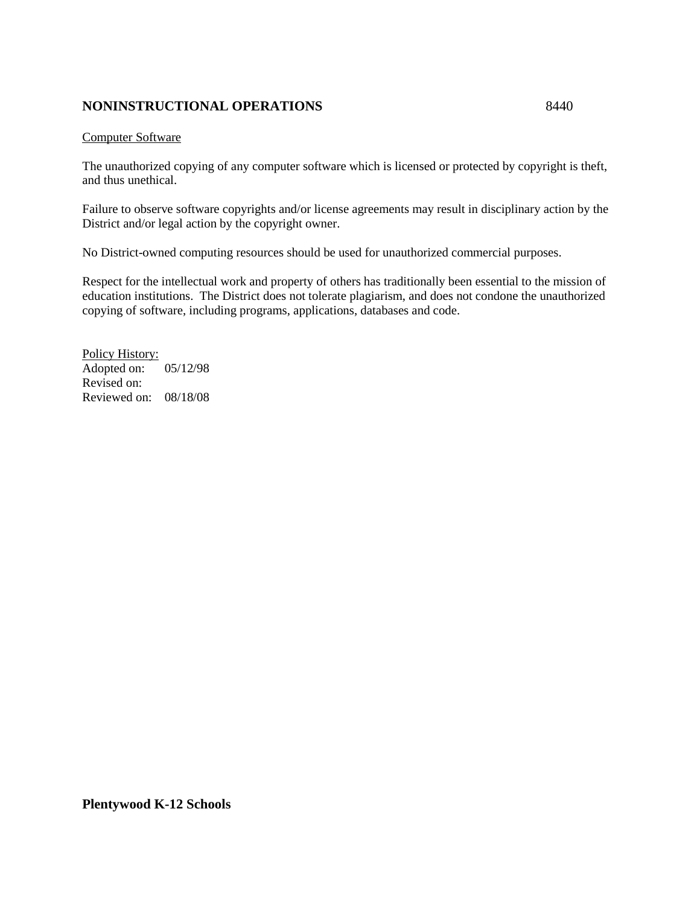# **NONINSTRUCTIONAL OPERATIONS** 8440

#### Computer Software

The unauthorized copying of any computer software which is licensed or protected by copyright is theft, and thus unethical.

Failure to observe software copyrights and/or license agreements may result in disciplinary action by the District and/or legal action by the copyright owner.

No District-owned computing resources should be used for unauthorized commercial purposes.

Respect for the intellectual work and property of others has traditionally been essential to the mission of education institutions. The District does not tolerate plagiarism, and does not condone the unauthorized copying of software, including programs, applications, databases and code.

Policy History: Adopted on: 05/12/98 Revised on: Reviewed on: 08/18/08

**Plentywood K-12 Schools**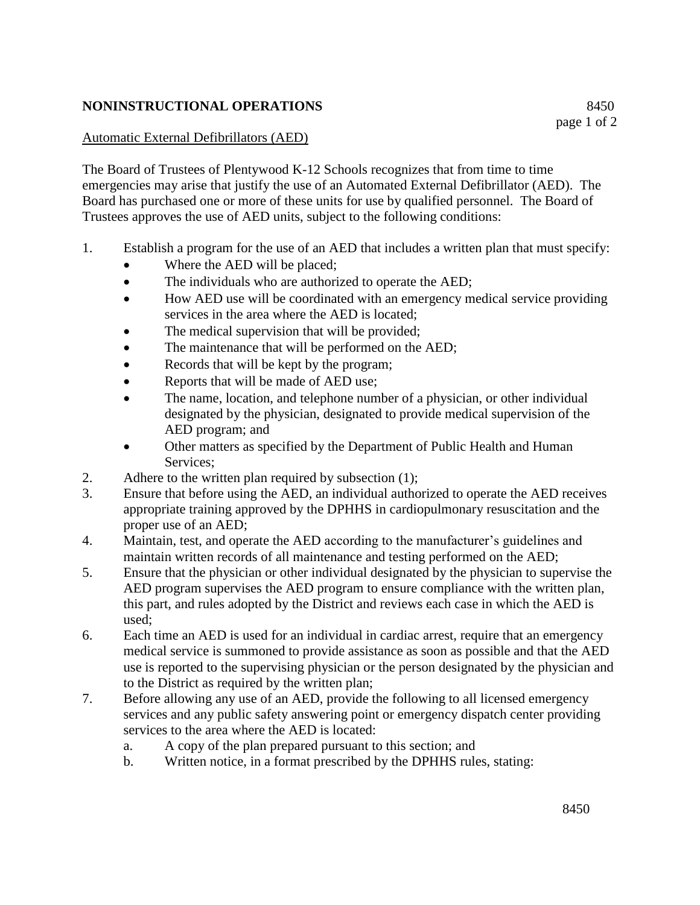# **NONINSTRUCTIONAL OPERATIONS** 8450

The Board of Trustees of Plentywood K-12 Schools recognizes that from time to time emergencies may arise that justify the use of an Automated External Defibrillator (AED). The Board has purchased one or more of these units for use by qualified personnel. The Board of Trustees approves the use of AED units, subject to the following conditions:

- 1. Establish a program for the use of an AED that includes a written plan that must specify:
	- Where the AED will be placed;
	- The individuals who are authorized to operate the AED;
	- How AED use will be coordinated with an emergency medical service providing services in the area where the AED is located;
	- The medical supervision that will be provided;
	- The maintenance that will be performed on the AED;
	- Records that will be kept by the program;
	- Reports that will be made of AED use;
	- The name, location, and telephone number of a physician, or other individual designated by the physician, designated to provide medical supervision of the AED program; and
	- Other matters as specified by the Department of Public Health and Human Services:
- 2. Adhere to the written plan required by subsection (1);
- 3. Ensure that before using the AED, an individual authorized to operate the AED receives appropriate training approved by the DPHHS in cardiopulmonary resuscitation and the proper use of an AED;
- 4. Maintain, test, and operate the AED according to the manufacturer's guidelines and maintain written records of all maintenance and testing performed on the AED;
- 5. Ensure that the physician or other individual designated by the physician to supervise the AED program supervises the AED program to ensure compliance with the written plan, this part, and rules adopted by the District and reviews each case in which the AED is used;
- 6. Each time an AED is used for an individual in cardiac arrest, require that an emergency medical service is summoned to provide assistance as soon as possible and that the AED use is reported to the supervising physician or the person designated by the physician and to the District as required by the written plan;
- 7. Before allowing any use of an AED, provide the following to all licensed emergency services and any public safety answering point or emergency dispatch center providing services to the area where the AED is located:
	- a. A copy of the plan prepared pursuant to this section; and
	- b. Written notice, in a format prescribed by the DPHHS rules, stating: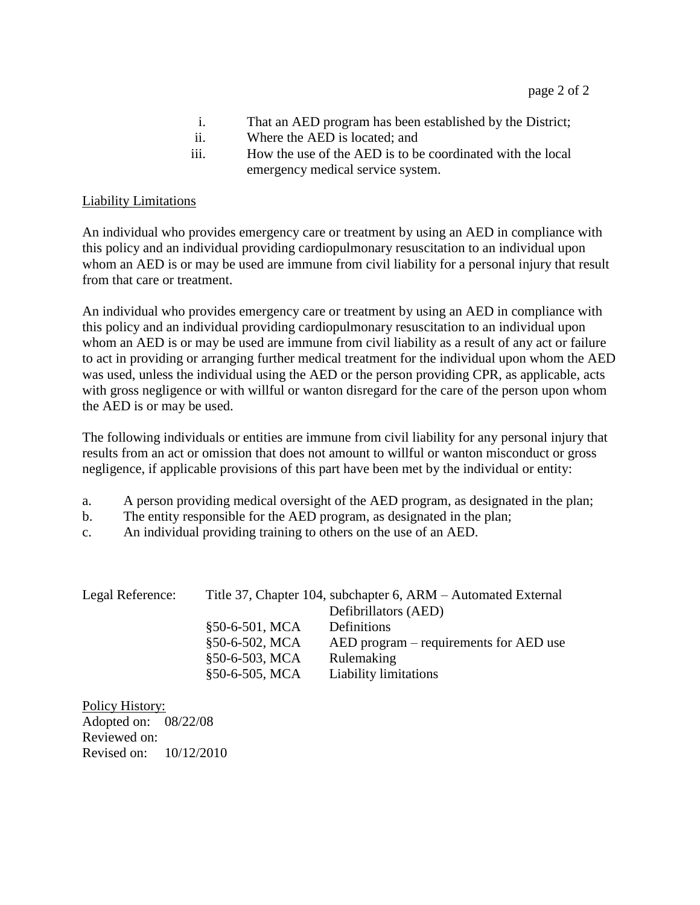- i. That an AED program has been established by the District;
- ii. Where the AED is located; and
- iii. How the use of the AED is to be coordinated with the local emergency medical service system.

# Liability Limitations

An individual who provides emergency care or treatment by using an AED in compliance with this policy and an individual providing cardiopulmonary resuscitation to an individual upon whom an AED is or may be used are immune from civil liability for a personal injury that result from that care or treatment.

An individual who provides emergency care or treatment by using an AED in compliance with this policy and an individual providing cardiopulmonary resuscitation to an individual upon whom an AED is or may be used are immune from civil liability as a result of any act or failure to act in providing or arranging further medical treatment for the individual upon whom the AED was used, unless the individual using the AED or the person providing CPR, as applicable, acts with gross negligence or with willful or wanton disregard for the care of the person upon whom the AED is or may be used.

The following individuals or entities are immune from civil liability for any personal injury that results from an act or omission that does not amount to willful or wanton misconduct or gross negligence, if applicable provisions of this part have been met by the individual or entity:

- a. A person providing medical oversight of the AED program, as designated in the plan;
- b. The entity responsible for the AED program, as designated in the plan;
- c. An individual providing training to others on the use of an AED.

| Legal Reference: | Title 37, Chapter 104, subchapter 6, ARM – Automated External |                                        |
|------------------|---------------------------------------------------------------|----------------------------------------|
|                  |                                                               | Defibrillators (AED)                   |
|                  | §50-6-501, MCA                                                | Definitions                            |
|                  | §50-6-502, MCA                                                | AED program – requirements for AED use |
|                  | §50-6-503, MCA                                                | Rulemaking                             |
|                  | §50-6-505, MCA                                                | <b>Liability limitations</b>           |

Policy History: Adopted on: 08/22/08 Reviewed on: Revised on: 10/12/2010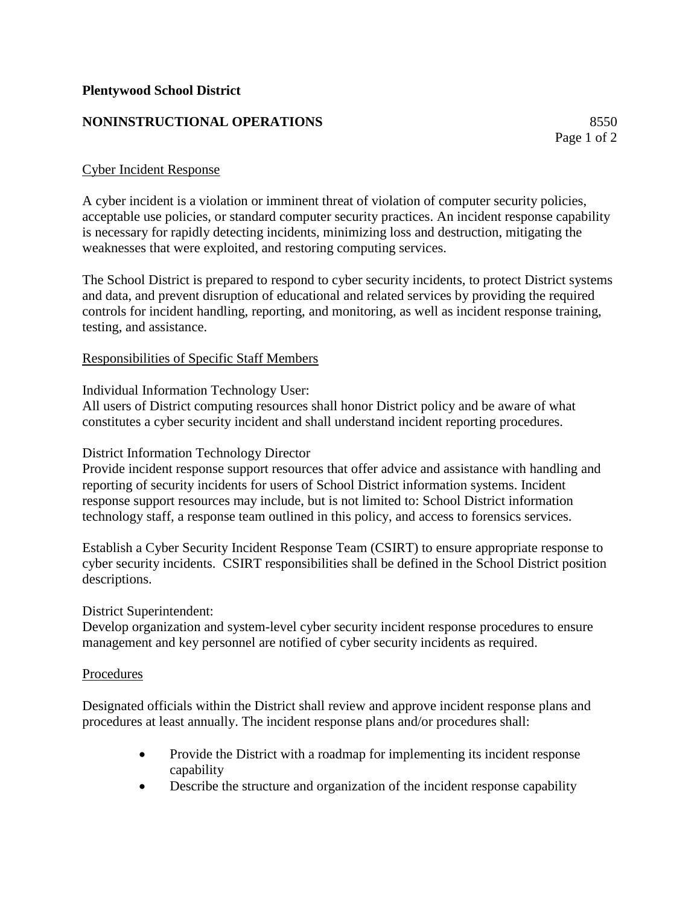# **NONINSTRUCTIONAL OPERATIONS** 8550

# Cyber Incident Response

A cyber incident is a violation or imminent threat of violation of computer security policies, acceptable use policies, or standard computer security practices. An incident response capability is necessary for rapidly detecting incidents, minimizing loss and destruction, mitigating the weaknesses that were exploited, and restoring computing services.

The School District is prepared to respond to cyber security incidents, to protect District systems and data, and prevent disruption of educational and related services by providing the required controls for incident handling, reporting, and monitoring, as well as incident response training, testing, and assistance.

# Responsibilities of Specific Staff Members

Individual Information Technology User:

All users of District computing resources shall honor District policy and be aware of what constitutes a cyber security incident and shall understand incident reporting procedures.

# District Information Technology Director

Provide incident response support resources that offer advice and assistance with handling and reporting of security incidents for users of School District information systems. Incident response support resources may include, but is not limited to: School District information technology staff, a response team outlined in this policy, and access to forensics services.

Establish a Cyber Security Incident Response Team (CSIRT) to ensure appropriate response to cyber security incidents. CSIRT responsibilities shall be defined in the School District position descriptions.

#### District Superintendent:

Develop organization and system-level cyber security incident response procedures to ensure management and key personnel are notified of cyber security incidents as required.

#### Procedures

Designated officials within the District shall review and approve incident response plans and procedures at least annually. The incident response plans and/or procedures shall:

- Provide the District with a roadmap for implementing its incident response capability
- Describe the structure and organization of the incident response capability